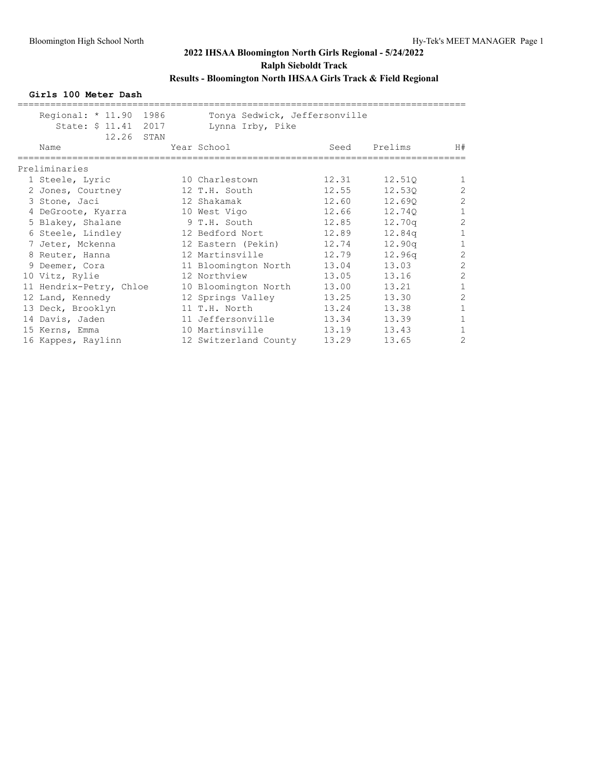**Girls 100 Meter Dash**

| Regional: $* 11.90$<br>1986<br>State: \$ 11.41 2017<br>12.26<br>STAN | Tonya Sedwick, Jeffersonville<br>Lynna Irby, Pike |       |         |                |
|----------------------------------------------------------------------|---------------------------------------------------|-------|---------|----------------|
| Name                                                                 | Year School                                       | Seed  | Prelims | H#             |
| Preliminaries                                                        |                                                   |       |         |                |
| 1 Steele, Lyric                                                      | 10 Charlestown                                    | 12.31 | 12.510  |                |
| 2 Jones, Courtney                                                    | 12 T.H. South                                     | 12.55 | 12.530  | $\overline{2}$ |
| 3 Stone, Jaci                                                        | 12 Shakamak                                       | 12.60 | 12.690  | $\overline{2}$ |
| 4 DeGroote, Kyarra                                                   | 10 West Vigo                                      | 12.66 | 12.740  | $\mathbf{1}$   |
| 5 Blakey, Shalane                                                    | 9 T.H. South                                      | 12.85 | 12.70q  | $\overline{2}$ |
| 6 Steele, Lindley                                                    | 12 Bedford Nort                                   | 12.89 | 12.84q  | $\mathbf{1}$   |
| 7 Jeter, Mckenna                                                     | 12 Eastern (Pekin)                                | 12.74 | 12.90q  |                |
| 8 Reuter, Hanna                                                      | 12 Martinsville                                   | 12.79 | 12.96q  | $\overline{2}$ |
| 9 Deemer, Cora                                                       | 11 Bloomington North                              | 13.04 | 13.03   | $\overline{2}$ |
| 10 Vitz, Rylie                                                       | 12 Northview                                      | 13.05 | 13.16   | $\overline{2}$ |
| 11 Hendrix-Petry, Chloe                                              | 10 Bloomington North                              | 13.00 | 13.21   | 1              |
| 12 Land, Kennedy                                                     | 12 Springs Valley                                 | 13.25 | 13.30   | $\overline{2}$ |
| 13 Deck, Brooklyn                                                    | 11 T.H. North                                     | 13.24 | 13.38   |                |
| 14 Davis, Jaden                                                      | 11 Jeffersonville                                 | 13.34 | 13.39   | 1              |
| 15 Kerns, Emma                                                       | 10 Martinsville                                   | 13.19 | 13.43   |                |
| 16 Kappes, Raylinn                                                   | 12 Switzerland County                             | 13.29 | 13.65   | 2              |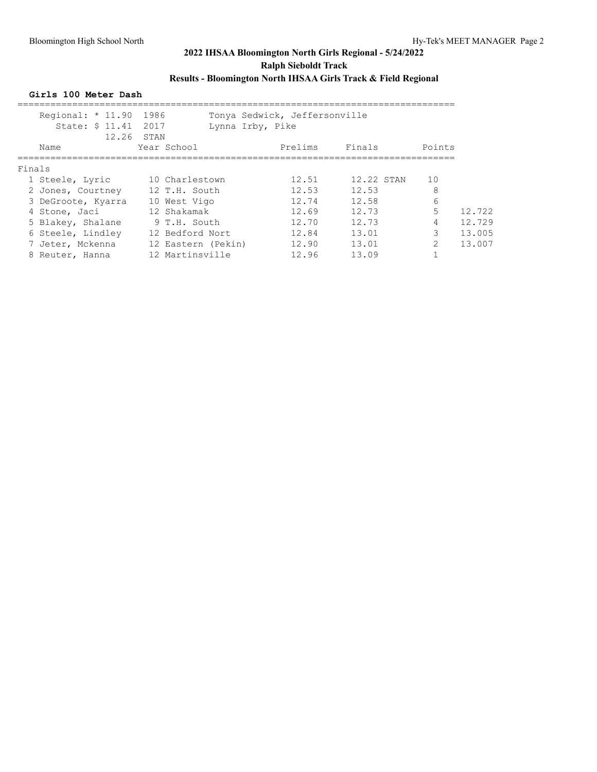### **Girls 100 Meter Dash**

|        | Regional: * 11.90 1986<br>State: \$ 11.41 2017 | Lynna Irby, Pike<br>12.26 STAN | Tonya Sedwick, Jeffersonville |            |               |        |
|--------|------------------------------------------------|--------------------------------|-------------------------------|------------|---------------|--------|
|        | Name                                           | Year School                    | Prelims                       | Finals     | Points        |        |
| Finals |                                                |                                |                               |            |               |        |
|        | 1 Steele, Lyric                                | 10 Charlestown                 | 12.51                         | 12.22 STAN | 10            |        |
|        | 2 Jones, Courtney                              | 12 T.H. South                  | 12.53                         | 12.53      | 8             |        |
|        | 3 DeGroote, Kyarra                             | 10 West Vigo                   | 12.74                         | 12.58      | 6             |        |
|        | 4 Stone, Jaci                                  | 12 Shakamak                    | 12.69                         | 12.73      | 5.            | 12.722 |
|        | 5 Blakey, Shalane                              | 9 T.H. South                   | 12.70                         | 12.73      | 4             | 12.729 |
|        | 6 Steele, Lindley                              | 12 Bedford Nort                | 12.84                         | 13.01      | 3             | 13.005 |
|        | 7 Jeter, Mckenna                               | 12 Eastern (Pekin)             | 12.90                         | 13.01      | $\mathcal{L}$ | 13.007 |
|        | 8 Reuter, Hanna                                | 12 Martinsville                | 12.96                         | 13.09      |               |        |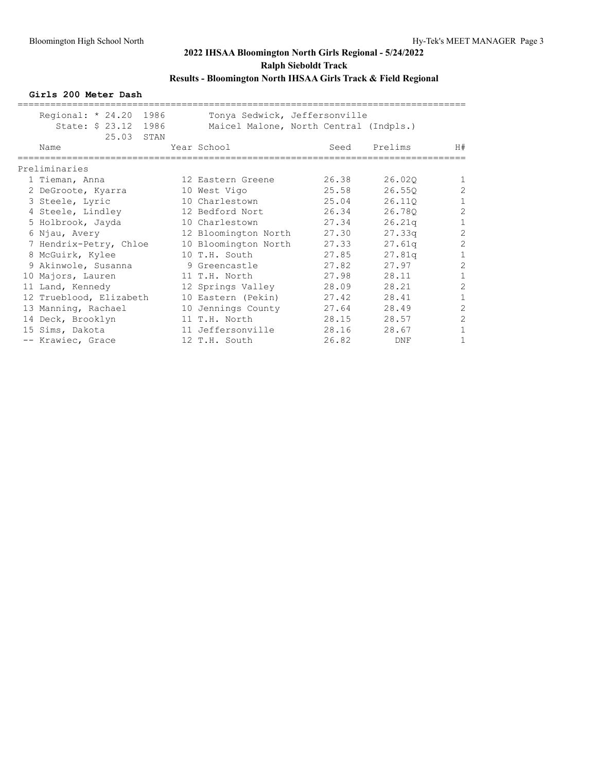**Girls 200 Meter Dash**

| Regional: $* 24.20$<br>1986<br>State: \$ 23.12<br>1986 | Tonya Sedwick, Jeffersonville<br>Maicel Malone, North Central (Indpls.) |       |         |                |
|--------------------------------------------------------|-------------------------------------------------------------------------|-------|---------|----------------|
| 25.03<br>STAN                                          |                                                                         |       |         |                |
| Name                                                   | Year School                                                             | Seed  | Prelims | H#             |
| Preliminaries                                          |                                                                         |       |         |                |
| 1 Tieman, Anna                                         | 12 Eastern Greene                                                       | 26.38 | 26.020  | $\mathbf{1}$   |
| 2 DeGroote, Kyarra                                     | 10 West Vigo                                                            | 25.58 | 26.55Q  | $\overline{2}$ |
| 3 Steele, Lyric                                        | 10 Charlestown                                                          | 25.04 | 26.110  | $\mathbf{1}$   |
| 4 Steele, Lindley                                      | 12 Bedford Nort                                                         | 26.34 | 26.780  | $\mathbf{2}$   |
| 5 Holbrook, Jayda                                      | 10 Charlestown                                                          | 27.34 | 26.21q  | $\mathbf{1}$   |
| 6 Njau, Avery                                          | 12 Bloomington North                                                    | 27.30 | 27.33q  | $\overline{c}$ |
| 7 Hendrix-Petry, Chloe                                 | 10 Bloomington North                                                    | 27.33 | 27.61q  | $\overline{c}$ |
| 8 McGuirk, Kylee                                       | 10 T.H. South                                                           | 27.85 | 27.81q  | $\mathbf{1}$   |
| 9 Akinwole, Susanna                                    | 9 Greencastle                                                           | 27.82 | 27.97   | $\overline{2}$ |
| 10 Majors, Lauren                                      | 11 T.H. North                                                           | 27.98 | 28.11   | $\,1\,$        |
| 11 Land, Kennedy                                       | 12 Springs Valley                                                       | 28.09 | 28.21   | $\overline{c}$ |
| 12 Trueblood, Elizabeth                                | 10 Eastern (Pekin)                                                      | 27.42 | 28.41   | $\,1\,$        |
| 13 Manning, Rachael                                    | 10 Jennings County                                                      | 27.64 | 28.49   | $\overline{c}$ |
| 14 Deck, Brooklyn                                      | 11 T.H. North                                                           | 28.15 | 28.57   | $\mathbf{2}$   |
| 15 Sims, Dakota                                        | 11 Jeffersonville                                                       | 28.16 | 28.67   | $\mathbf{1}$   |
| -- Krawiec, Grace                                      | 12 T.H. South                                                           | 26.82 | DNF     | 1              |
|                                                        |                                                                         |       |         |                |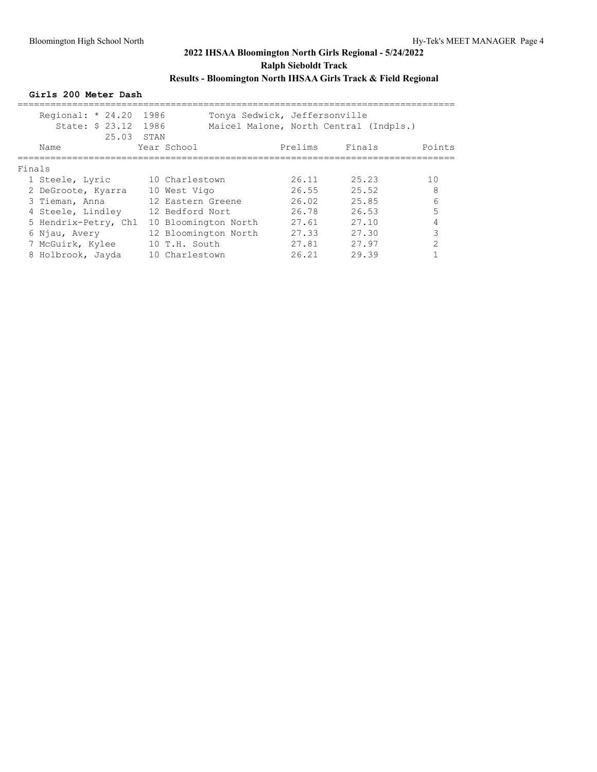**Girls 200 Meter Dash**

| Regional: $* 24.20$ |                                                                                                                                                                |                                                           |                                                                                                                                                           |         |                                                                                   |  |
|---------------------|----------------------------------------------------------------------------------------------------------------------------------------------------------------|-----------------------------------------------------------|-----------------------------------------------------------------------------------------------------------------------------------------------------------|---------|-----------------------------------------------------------------------------------|--|
| Name                |                                                                                                                                                                |                                                           |                                                                                                                                                           |         | Points                                                                            |  |
| Finals              |                                                                                                                                                                |                                                           |                                                                                                                                                           |         |                                                                                   |  |
|                     |                                                                                                                                                                |                                                           | 26.11                                                                                                                                                     | 25.23   | 10                                                                                |  |
|                     |                                                                                                                                                                |                                                           | 26.55                                                                                                                                                     | 25.52   | 8                                                                                 |  |
|                     |                                                                                                                                                                |                                                           | 26.02                                                                                                                                                     | 25.85   | 6                                                                                 |  |
|                     |                                                                                                                                                                |                                                           | 26.78                                                                                                                                                     | 26.53   | 5                                                                                 |  |
|                     |                                                                                                                                                                |                                                           | 27.61                                                                                                                                                     | 27.10   |                                                                                   |  |
|                     |                                                                                                                                                                |                                                           | 27.33                                                                                                                                                     | 27.30   | 3                                                                                 |  |
|                     |                                                                                                                                                                |                                                           | 27.81                                                                                                                                                     | 27.97   | $\mathcal{D}$                                                                     |  |
|                     |                                                                                                                                                                |                                                           | 26.21                                                                                                                                                     | 29.39   |                                                                                   |  |
|                     | 1 Steele, Lyric<br>2 DeGroote, Kyarra<br>3 Tieman, Anna<br>4 Steele, Lindley<br>5 Hendrix-Petry, Chl<br>6 Njau, Avery<br>7 McGuirk, Kylee<br>8 Holbrook, Jayda | 1986<br>State: \$ 23.12 1986<br>25.03 STAN<br>Year School | 10 Charlestown<br>10 West Vigo<br>12 Eastern Greene<br>12 Bedford Nort<br>10 Bloomington North<br>12 Bloomington North<br>10 T.H. South<br>10 Charlestown | Prelims | Tonya Sedwick, Jeffersonville<br>Maicel Malone, North Central (Indpls.)<br>Finals |  |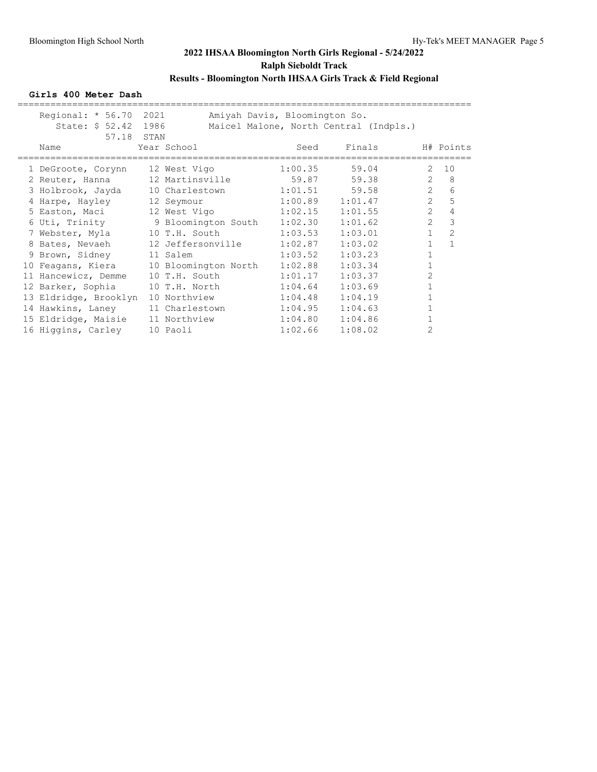### **Girls 400 Meter Dash**

| Regional: $* 56.70$ |               |                                                                                                                                                                                                                                                                                                                                                                 |                                                                                      |                                                                                                                                                                                                                                        |                                                                                       |
|---------------------|---------------|-----------------------------------------------------------------------------------------------------------------------------------------------------------------------------------------------------------------------------------------------------------------------------------------------------------------------------------------------------------------|--------------------------------------------------------------------------------------|----------------------------------------------------------------------------------------------------------------------------------------------------------------------------------------------------------------------------------------|---------------------------------------------------------------------------------------|
| Name                |               | Seed                                                                                                                                                                                                                                                                                                                                                            | Finals                                                                               |                                                                                                                                                                                                                                        | H# Points                                                                             |
|                     |               |                                                                                                                                                                                                                                                                                                                                                                 |                                                                                      | 2                                                                                                                                                                                                                                      | 10                                                                                    |
|                     |               |                                                                                                                                                                                                                                                                                                                                                                 |                                                                                      | 2                                                                                                                                                                                                                                      | 8                                                                                     |
|                     |               |                                                                                                                                                                                                                                                                                                                                                                 |                                                                                      | $2^{\circ}$                                                                                                                                                                                                                            | 6                                                                                     |
|                     | 12 Seymour    |                                                                                                                                                                                                                                                                                                                                                                 |                                                                                      | $\overline{2}$                                                                                                                                                                                                                         | 5                                                                                     |
|                     |               |                                                                                                                                                                                                                                                                                                                                                                 | 1:01.55                                                                              | $\overline{2}$                                                                                                                                                                                                                         | 4                                                                                     |
|                     |               |                                                                                                                                                                                                                                                                                                                                                                 | 1:01.62                                                                              | $\overline{2}$                                                                                                                                                                                                                         | 3                                                                                     |
|                     |               |                                                                                                                                                                                                                                                                                                                                                                 | 1:03.01                                                                              | $\mathbf{1}$                                                                                                                                                                                                                           | 2                                                                                     |
|                     |               |                                                                                                                                                                                                                                                                                                                                                                 | 1:03.02                                                                              | $\mathbf{1}$                                                                                                                                                                                                                           | $\mathbf{1}$                                                                          |
|                     |               | 1:03.52                                                                                                                                                                                                                                                                                                                                                         | 1:03.23                                                                              | $\mathbf{1}$                                                                                                                                                                                                                           |                                                                                       |
|                     |               |                                                                                                                                                                                                                                                                                                                                                                 | 1:03.34                                                                              | $\mathbf{1}$                                                                                                                                                                                                                           |                                                                                       |
|                     | 10 T.H. South |                                                                                                                                                                                                                                                                                                                                                                 | 1:03.37                                                                              | $\overline{2}$                                                                                                                                                                                                                         |                                                                                       |
| 12 Barker, Sophia   |               | 1:04.64                                                                                                                                                                                                                                                                                                                                                         | 1:03.69                                                                              | $\mathbf 1$                                                                                                                                                                                                                            |                                                                                       |
|                     | 10 Northview  | 1:04.48                                                                                                                                                                                                                                                                                                                                                         | 1:04.19                                                                              | $\mathbf{1}$                                                                                                                                                                                                                           |                                                                                       |
| 14 Hawkins, Laney   |               |                                                                                                                                                                                                                                                                                                                                                                 | 1:04.63                                                                              | $\mathbf 1$                                                                                                                                                                                                                            |                                                                                       |
|                     |               |                                                                                                                                                                                                                                                                                                                                                                 | 1:04.86                                                                              |                                                                                                                                                                                                                                        |                                                                                       |
|                     | 10 Paoli      | 1:02.66                                                                                                                                                                                                                                                                                                                                                         | 1:08.02                                                                              | 2                                                                                                                                                                                                                                      |                                                                                       |
|                     |               | 2021<br>State: \$ 52.42 1986<br>57.18 STAN<br>Year School<br>1 DeGroote, Corynn 12 West Vigo<br>3 Holbrook, Jayda 10 Charlestown<br>4 Harpe, Hayley<br>7 Webster, Myla 10 T.H. South<br>8 Bates, Nevaeh<br>9 Brown, Sidney 11 Salem<br>11 Hancewicz, Demme<br>13 Eldridge, Brooklyn<br>11 Charlestown<br>15 Eldridge, Maisie 11 Northview<br>16 Higgins, Carley | 12 Jeffersonville<br>10 Feagans, Kiera 10 Bloomington North 1:02.88<br>10 T.H. North | Amiyah Davis, Bloomington So.<br>$1:00.35$ 59.04<br>$1:01.51$ 59.58<br>$1:00.89$ $1:01.47$<br>5 Easton, Maci 12 West Vigo 1:02.15<br>6 Uti, Trinity 9 Bloomington South 1:02.30<br>1:03.53<br>1:02.87<br>1:01.17<br>1:04.95<br>1:04.80 | Maicel Malone, North Central (Indpls.)<br>2 Reuter, Hanna 12 Martinsville 59.87 59.38 |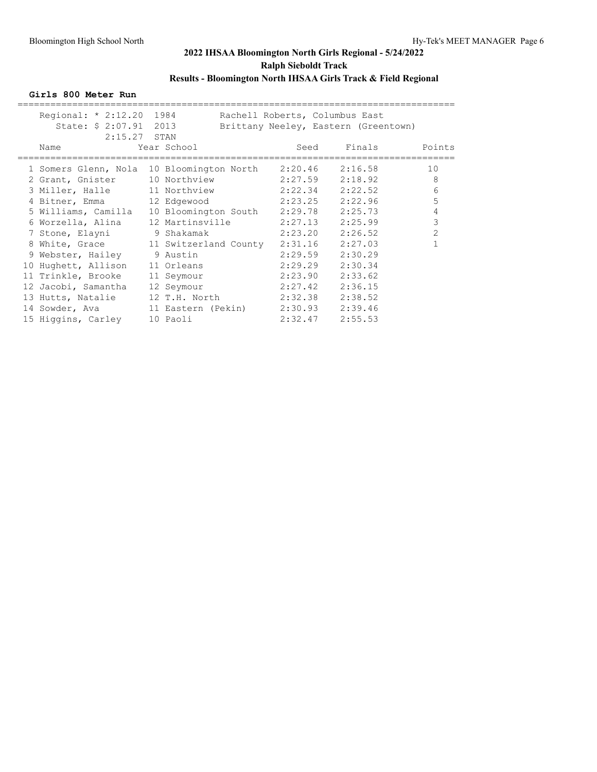**Girls 800 Meter Run**

| Regional: * 2:12.20 1984<br>State: \$ 2:07.91 2013        |                                 | Rachell Roberts, Columbus East | Brittany Neeley, Eastern (Greentown) |            |
|-----------------------------------------------------------|---------------------------------|--------------------------------|--------------------------------------|------------|
| $2:15.27$ STAN                                            |                                 |                                |                                      |            |
| Name                                                      | Year School                     |                                | Seed Finals Points                   |            |
| 1 Somers Glenn, Nola 10 Bloomington North 2:20.46 2:16.58 |                                 |                                |                                      | 10         |
| 2 Grant, Gnister                                          | 10 Northview 2:27.59 2:18.92 8  |                                |                                      |            |
| 3 Miller, Halle                                           | 11 Northview 2:22.34 2:22.52    |                                |                                      | 6          |
| 4 Bitner, Emma 12 Edgewood                                |                                 | $2:23.25$ $2:22.96$            |                                      | 5          |
| 5 Williams, Camilla 10 Bloomington South 2:29.78 2:25.73  |                                 |                                |                                      | $\sqrt{4}$ |
| 6 Worzella, Alina                                         | 12 Martinsville 2:27.13 2:25.99 |                                |                                      | 3          |
| 7 Stone, Elayni 9 Shakamak                                |                                 | 2:23.20                        | 2:26.52                              | 2          |
| 8 White, Grace 11 Switzerland County                      |                                 | 2:31.16 2:27.03                |                                      |            |
| 9 Webster, Hailey 9 Austin                                |                                 | $2:29.59$ $2:30.29$            |                                      |            |
| 10 Hughett, Allison                                       | 11 Orleans                      | $2:29.29$ $2:30.34$            |                                      |            |
| 11 Trinkle, Brooke                                        | 11 Seymour                      | $2:23.90$ $2:33.62$            |                                      |            |
| 12 Jacobi, Samantha                                       | 12 Seymour                      | 2:27.42                        | 2:36.15                              |            |
| 13 Hutts, Natalie                                         | 12 T.H. North 2:32.38 2:38.52   |                                |                                      |            |
| 14 Sowder, Ava 11 Eastern (Pekin) 2:30.93 2:39.46         |                                 |                                |                                      |            |
| 15 Higgins, Carley                                        | 10 Paoli                        | $2:32.47$ $2:55.53$            |                                      |            |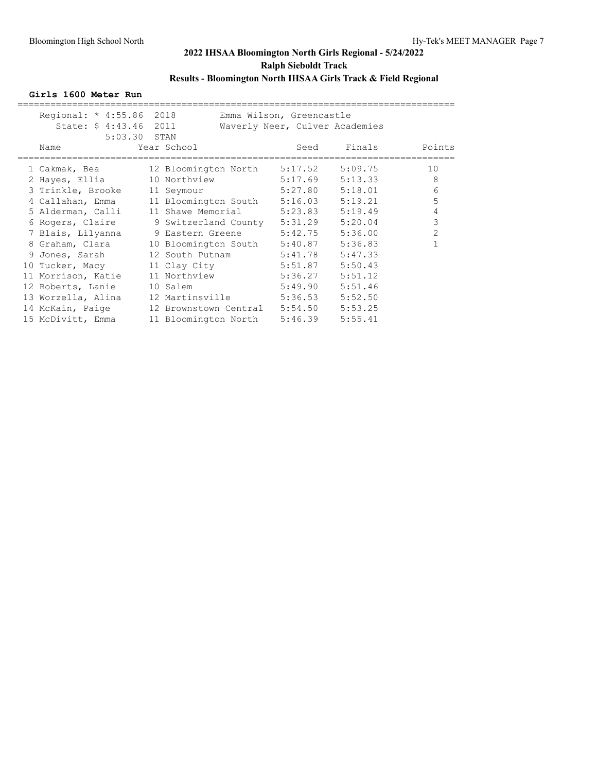### **Girls 1600 Meter Run**

| Name               |                                      |                                                                                                                                                                      | Finals                                                                                                                                                                 | Points                                                                                                                                                                                                                                                                                 |
|--------------------|--------------------------------------|----------------------------------------------------------------------------------------------------------------------------------------------------------------------|------------------------------------------------------------------------------------------------------------------------------------------------------------------------|----------------------------------------------------------------------------------------------------------------------------------------------------------------------------------------------------------------------------------------------------------------------------------------|
| 1 Cakmak, Bea      |                                      |                                                                                                                                                                      | 5:09.75                                                                                                                                                                | 10                                                                                                                                                                                                                                                                                     |
| 2 Hayes, Ellia     |                                      |                                                                                                                                                                      | 5:13.33                                                                                                                                                                | 8                                                                                                                                                                                                                                                                                      |
| 3 Trinkle, Brooke  |                                      |                                                                                                                                                                      | 5:18.01                                                                                                                                                                | 6                                                                                                                                                                                                                                                                                      |
| 4 Callahan, Emma   |                                      |                                                                                                                                                                      | 5:19.21                                                                                                                                                                | 5                                                                                                                                                                                                                                                                                      |
|                    |                                      |                                                                                                                                                                      | 5:19.49                                                                                                                                                                | 4                                                                                                                                                                                                                                                                                      |
|                    |                                      |                                                                                                                                                                      | 5:20.04                                                                                                                                                                | 3                                                                                                                                                                                                                                                                                      |
|                    |                                      |                                                                                                                                                                      | 5:36.00                                                                                                                                                                | $\overline{c}$                                                                                                                                                                                                                                                                         |
| 8 Graham, Clara    |                                      |                                                                                                                                                                      | 5:36.83                                                                                                                                                                |                                                                                                                                                                                                                                                                                        |
| 9 Jones, Sarah     |                                      |                                                                                                                                                                      | 5:47.33                                                                                                                                                                |                                                                                                                                                                                                                                                                                        |
|                    |                                      |                                                                                                                                                                      | 5:50.43                                                                                                                                                                |                                                                                                                                                                                                                                                                                        |
| 11 Morrison, Katie |                                      |                                                                                                                                                                      | 5:51.12                                                                                                                                                                |                                                                                                                                                                                                                                                                                        |
| 12 Roberts, Lanie  |                                      |                                                                                                                                                                      | 5:51.46                                                                                                                                                                |                                                                                                                                                                                                                                                                                        |
| 13 Worzella, Alina |                                      |                                                                                                                                                                      | 5:52.50                                                                                                                                                                |                                                                                                                                                                                                                                                                                        |
| 14 McKain, Paige   |                                      |                                                                                                                                                                      | 5:53.25                                                                                                                                                                |                                                                                                                                                                                                                                                                                        |
| 15 McDivitt, Emma  |                                      |                                                                                                                                                                      | 5:55.41                                                                                                                                                                |                                                                                                                                                                                                                                                                                        |
|                    | 5 Alderman, Calli<br>10 Tucker, Macy | Regional: * 4:55.86 2018<br>State: \$ 4:43.46 2011<br>5:03.30 STAN<br>Year School<br>11 Seymour<br>7 Blais, Lilyanna 9 Eastern Greene<br>12 South Putnam<br>10 Salem | 11 Shawe Memorial 5:23.83<br>6 Rogers, Claire 9 Switzerland County 5:31.29<br>5:42.75<br>5:41.78<br>5:49.90<br>12 Martinsville 5:36.53<br>11 Bloomington North 5:46.39 | Emma Wilson, Greencastle<br>Waverly Neer, Culver Academies<br>Seed<br>12 Bloomington North 5:17.52<br>10 Northview 5:17.69<br>5:27.80<br>11 Bloomington South 5:16.03<br>10 Bloomington South 5:40.87<br>11 Clay City 5:51.87<br>11 Northview 5:36.27<br>12 Brownstown Central 5:54.50 |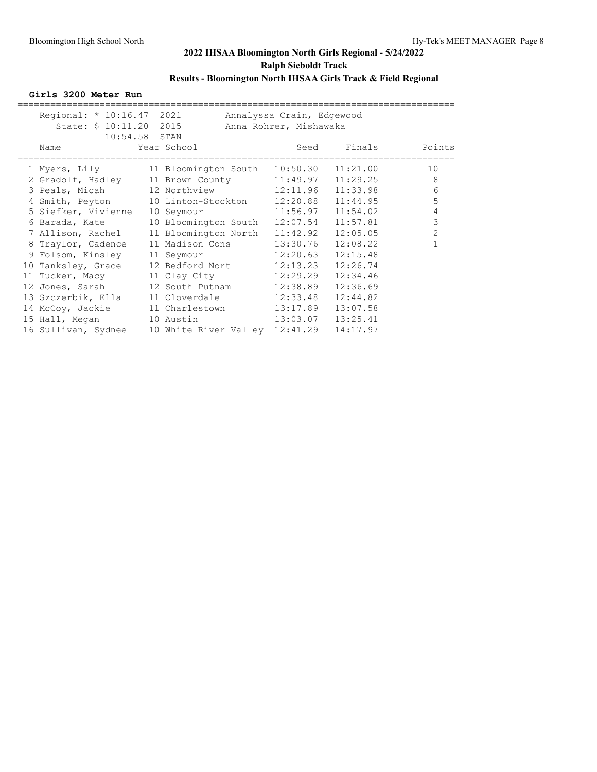**Girls 3200 Meter Run**

| Regional: * 10:16.47 2021<br>State: \$ 10:11.20 2015 |                                | Annalyssa Crain, Edgewood<br>Anna Rohrer, Mishawaka |          |                |
|------------------------------------------------------|--------------------------------|-----------------------------------------------------|----------|----------------|
| $10:54.58$ STAN                                      |                                |                                                     |          |                |
| Name                                                 | Year School                    | Seed                                                |          | Finals Points  |
| 1 Myers, Lily                                        | 11 Bloomington South 10:50.30  |                                                     | 11:21.00 | 10             |
| 2 Gradolf, Hadley 11 Brown County 11:49.97           |                                |                                                     | 11:29.25 | 8              |
| 3 Peals, Micah 12 Northview 12:11.96                 |                                |                                                     | 11:33.98 | 6              |
| 4 Smith, Peyton                                      | 10 Linton-Stockton             | 12:20.88                                            | 11:44.95 | 5              |
| 5 Siefker, Vivienne                                  | 10 Seymour                     | 11:56.97                                            | 11:54.02 | 4              |
| 6 Barada, Kate                                       | 10 Bloomington South           | 12:07.54                                            | 11:57.81 | 3              |
| 7 Allison, Rachel                                    | 11 Bloomington North           | 11:42.92                                            | 12:05.05 | $\overline{2}$ |
| 8 Traylor, Cadence                                   | 11 Madison Cons                | 13:30.76                                            | 12:08.22 |                |
| 9 Folsom, Kinsley                                    | 11 Seymour                     | 12:20.63                                            | 12:15.48 |                |
| 10 Tanksley, Grace                                   | 12 Bedford Nort                | 12:13.23                                            | 12:26.74 |                |
| 11 Tucker, Macy                                      | 11 Clay City                   | 12:29.29                                            | 12:34.46 |                |
| 12 Jones, Sarah                                      | 12 South Putnam                | 12:38.89                                            | 12:36.69 |                |
| 13 Szczerbik, Ella                                   | 11 Cloverdale                  | 12:33.48                                            | 12:44.82 |                |
| 14 McCoy, Jackie                                     | 11 Charlestown                 | 13:17.89                                            | 13:07.58 |                |
| 15 Hall, Megan                                       | 10 Austin                      | 13:03.07                                            | 13:25.41 |                |
| 16 Sullivan, Sydnee                                  | 10 White River Valley 12:41.29 |                                                     | 14:17.97 |                |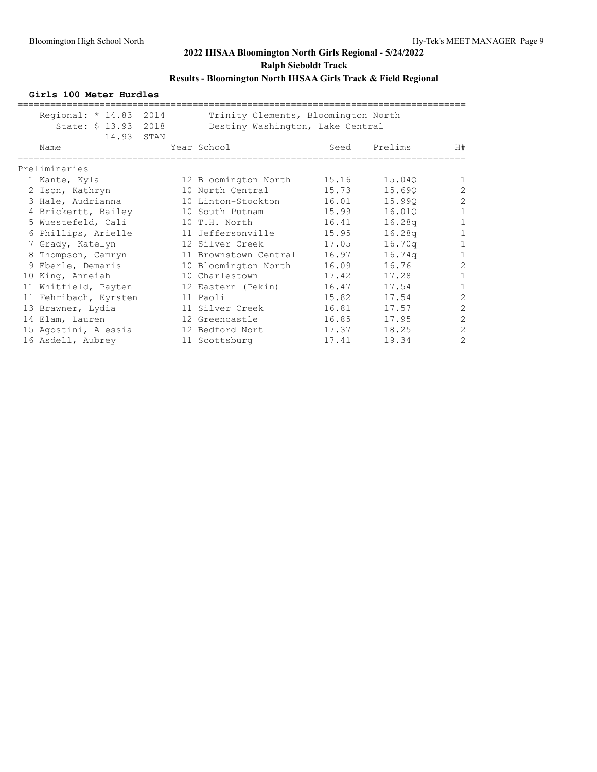#### **Girls 100 Meter Hurdles**

| Regional: * 14.83 2014<br>State: \$ 13.93 2018 |      | Trinity Clements, Bloomington North<br>Destiny Washington, Lake Central |       |                    |                |
|------------------------------------------------|------|-------------------------------------------------------------------------|-------|--------------------|----------------|
| 14.93<br>Name                                  | STAN | Year School                                                             | Seed  | Prelims            | H#             |
| Preliminaries                                  |      |                                                                         |       |                    |                |
| 1 Kante, Kyla                                  |      | 12 Bloomington North                                                    | 15.16 | 15.040             | 1              |
| 2 Ison, Kathryn                                |      | 10 North Central                                                        | 15.73 | 15.690             | $\overline{c}$ |
| 3 Hale, Audrianna                              |      | 10 Linton-Stockton                                                      | 16.01 | 15.990             | $\overline{2}$ |
| 4 Brickertt, Bailey                            |      | 10 South Putnam                                                         | 15.99 | 16.010             | 1              |
| 5 Wuestefeld, Cali                             |      | 10 T.H. North                                                           | 16.41 | 16.28q             | $\mathbf{1}$   |
| 6 Phillips, Arielle                            |      | 11 Jeffersonville                                                       | 15.95 | 16.28 <sub>q</sub> | $\mathbf{1}$   |
| 7 Grady, Katelyn                               |      | 12 Silver Creek                                                         | 17.05 | 16.70q             | $\mathbf{1}$   |
| 8 Thompson, Camryn                             |      | 11 Brownstown Central                                                   | 16.97 | 16.74q             | $\mathbf{1}$   |
| 9 Eberle, Demaris                              |      | 10 Bloomington North                                                    | 16.09 | 16.76              | $\overline{c}$ |
| 10 King, Anneiah                               |      | 10 Charlestown                                                          | 17.42 | 17.28              | $\mathbf{1}$   |
| 11 Whitfield, Payten                           |      | 12 Eastern (Pekin)                                                      | 16.47 | 17.54              | $\mathbf{1}$   |
| 11 Fehribach, Kyrsten                          |      | 11 Paoli                                                                | 15.82 | 17.54              | $\overline{2}$ |
| 13 Brawner, Lydia                              |      | 11 Silver Creek                                                         | 16.81 | 17.57              | $\overline{2}$ |
| 14 Elam, Lauren                                |      | 12 Greencastle                                                          | 16.85 | 17.95              | $\overline{c}$ |
| 15 Agostini, Alessia                           |      | 12 Bedford Nort                                                         | 17.37 | 18.25              | $\overline{2}$ |
| 16 Asdell, Aubrey                              |      | 11 Scottsburg                                                           | 17.41 | 19.34              | $\overline{2}$ |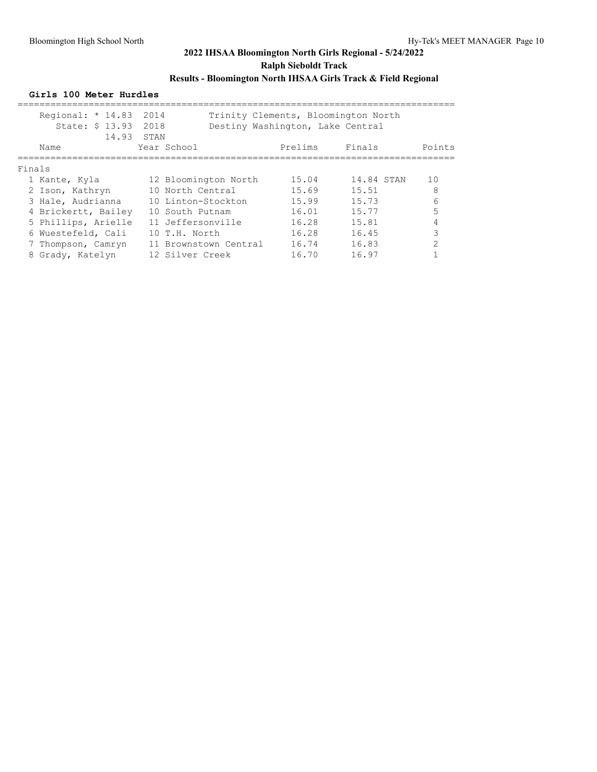#### **Girls 100 Meter Hurdles**

|        | Regional: $* 14.83$<br>State: \$ 13.93 2018<br>14.93 | 2014<br>STAN         | Destiny Washington, Lake Central |                | Trinity Clements, Bloomington North |                |
|--------|------------------------------------------------------|----------------------|----------------------------------|----------------|-------------------------------------|----------------|
|        | Name                                                 | Year School          |                                  | Prelims Finals |                                     | Points         |
| Finals |                                                      |                      |                                  |                |                                     |                |
|        | 1 Kante, Kyla                                        | 12 Bloomington North |                                  | 15.04          | 14.84 STAN                          | 10             |
|        | 2 Ison, Kathryn                                      | 10 North Central     |                                  | 15.69          | 15.51                               | 8              |
|        | 3 Hale, Audrianna                                    | 10 Linton-Stockton   |                                  | 15.99          | 15.73                               | 6              |
|        | 4 Brickertt, Bailey                                  | 10 South Putnam      |                                  | 16.01          | 15.77                               | 5              |
|        | 5 Phillips, Arielle                                  | 11 Jeffersonville    |                                  | 16.28          | 15.81                               |                |
|        | 6 Wuestefeld, Cali                                   | 10 T.H. North        |                                  | 16.28          | 16.45                               | ς              |
|        | 7 Thompson, Camryn                                   |                      | 11 Brownstown Central            | 16.74          | 16.83                               | $\mathfrak{D}$ |
|        | 8 Grady, Katelyn                                     | 12 Silver Creek      |                                  | 16.70          | 16.97                               |                |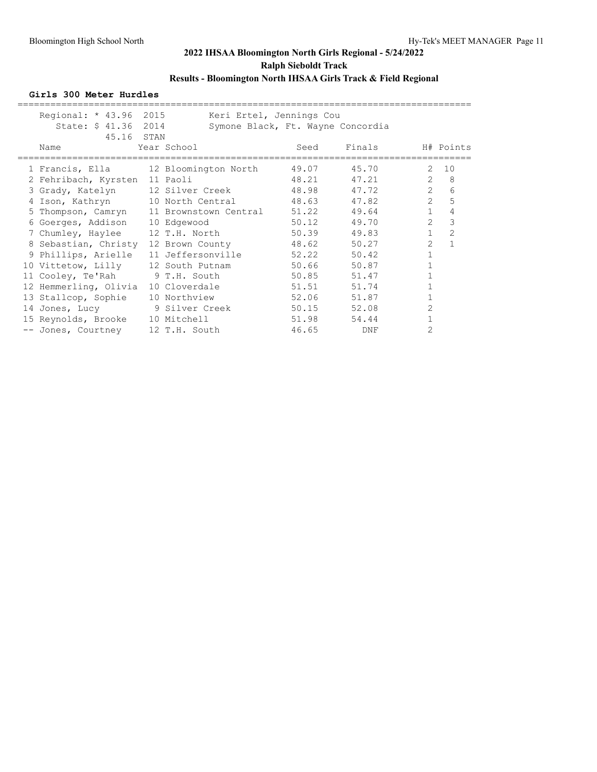### **Girls 300 Meter Hurdles**

| Regional: $* 43.96$<br>State: \$ 41.36         | 2015<br>2014 |                | Keri Ertel, Jennings Cou<br>Symone Black, Ft. Wayne Concordia |        |                |              |
|------------------------------------------------|--------------|----------------|---------------------------------------------------------------|--------|----------------|--------------|
| 45.16 STAN<br>Name                             |              | Year School    | Seed                                                          | Finals |                | H# Points    |
| 1 Francis, Ella 12 Bloomington North           |              |                | 49.07                                                         | 45.70  | 2              | 10           |
| 2 Fehribach, Kyrsten 11 Paoli                  |              |                | 48.21                                                         | 47.21  | $\mathbf{2}$   | 8            |
| 3 Grady, Katelyn 12 Silver Creek               |              |                | 48.98                                                         | 47.72  | $2^{\circ}$    | 6            |
| 4 Ison, Kathryn 10 North Central 48.63         |              |                |                                                               | 47.82  | $\overline{2}$ | 5            |
| 5 Thompson, Camryn 11 Brownstown Central 51.22 |              |                |                                                               | 49.64  | 1              | 4            |
| 6 Goerges, Addison 10 Edgewood                 |              |                | 50.12                                                         | 49.70  | $\overline{2}$ | 3            |
| 7 Chumley, Haylee 12 T.H. North 50.39          |              |                |                                                               | 49.83  | $\mathbf{1}$   | 2            |
| 8 Sebastian, Christy 12 Brown County           |              |                | 48.62                                                         | 50.27  | $\overline{2}$ | $\mathbf{1}$ |
| 9 Phillips, Arielle 11 Jeffersonville          |              |                | 52.22                                                         | 50.42  | $\mathbf{1}$   |              |
| 10 Vittetow, Lilly 12 South Putnam             |              |                | 50.66                                                         | 50.87  |                |              |
| 11 Cooley, Te'Rah 9 T.H. South                 |              |                | 50.85                                                         | 51.47  |                |              |
| 12 Hemmerling, Olivia                          |              | 10 Cloverdale  | 51.51                                                         | 51.74  |                |              |
| 13 Stallcop, Sophie                            |              | 10 Northview   | 52.06                                                         | 51.87  |                |              |
| 14 Jones, Lucy                                 |              | 9 Silver Creek | 50.15                                                         | 52.08  | $\overline{c}$ |              |
| 15 Reynolds, Brooke 10 Mitchell                |              |                | 51.98                                                         | 54.44  |                |              |
| -- Jones, Courtney                             |              | 12 T.H. South  | 46.65                                                         | DNF    | 2              |              |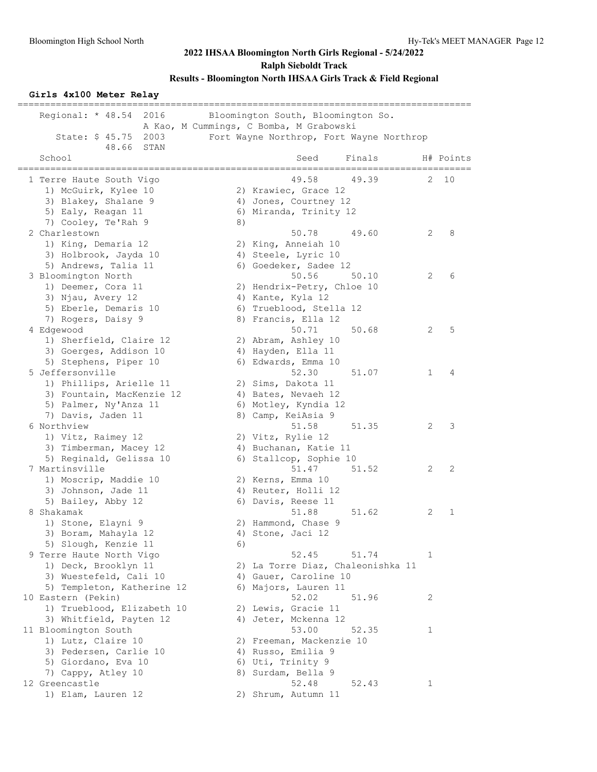#### **Girls 4x100 Meter Relay**

| Regional: $* 48.54$<br>2016<br>2003<br>State: \$ 45.75 |    | Bloomington South, Bloomington So.<br>A Kao, M Cummings, C Bomba, M Grabowski<br>Fort Wayne Northrop, Fort Wayne Northrop |              |                           |
|--------------------------------------------------------|----|---------------------------------------------------------------------------------------------------------------------------|--------------|---------------------------|
| 48.66<br>STAN<br>School                                |    | Seed<br>Finals                                                                                                            |              | H# Points<br>============ |
| 1 Terre Haute South Vigo                               |    | 49.58<br>49.39                                                                                                            | 2            | 10                        |
| 1) McGuirk, Kylee 10                                   |    | 2) Krawiec, Grace 12                                                                                                      |              |                           |
| 3) Blakey, Shalane 9                                   |    | 4) Jones, Courtney 12                                                                                                     |              |                           |
| 5) Ealy, Reagan 11                                     |    | 6) Miranda, Trinity 12                                                                                                    |              |                           |
| 7) Cooley, Te'Rah 9                                    | 8) |                                                                                                                           |              |                           |
| 2 Charlestown                                          |    | 50.78<br>49.60                                                                                                            | 2            | 8                         |
| 1) King, Demaria 12                                    |    | 2) King, Anneiah 10                                                                                                       |              |                           |
| 3) Holbrook, Jayda 10                                  |    | 4) Steele, Lyric 10                                                                                                       |              |                           |
| 5) Andrews, Talia 11                                   |    | 6) Goedeker, Sadee 12                                                                                                     |              |                           |
| 3 Bloomington North                                    |    | 50.56<br>50.10                                                                                                            | 2            | 6                         |
| 1) Deemer, Cora 11                                     |    | 2) Hendrix-Petry, Chloe 10                                                                                                |              |                           |
| 3) Njau, Avery 12                                      |    | 4) Kante, Kyla 12                                                                                                         |              |                           |
| 5) Eberle, Demaris 10                                  |    | 6) Trueblood, Stella 12                                                                                                   |              |                           |
| 7) Rogers, Daisy 9                                     |    | 8) Francis, Ella 12                                                                                                       |              |                           |
| 4 Edgewood                                             |    | 50.71<br>50.68                                                                                                            | 2            | 5                         |
| 1) Sherfield, Claire 12                                |    | 2) Abram, Ashley 10                                                                                                       |              |                           |
| 3) Goerges, Addison 10                                 |    | 4) Hayden, Ella 11                                                                                                        |              |                           |
| 5) Stephens, Piper 10                                  |    | 6) Edwards, Emma 10                                                                                                       |              |                           |
| 5 Jeffersonville                                       |    | 52.30<br>51.07                                                                                                            | $\mathbf{1}$ | 4                         |
| 1) Phillips, Arielle 11                                |    | 2) Sims, Dakota 11                                                                                                        |              |                           |
| 3) Fountain, MacKenzie 12                              |    | 4) Bates, Nevaeh 12                                                                                                       |              |                           |
| 5) Palmer, Ny'Anza 11                                  |    | 6) Motley, Kyndia 12                                                                                                      |              |                           |
| 7) Davis, Jaden 11                                     |    | 8) Camp, KeiAsia 9                                                                                                        |              |                           |
| 6 Northview                                            |    | 51.58<br>51.35                                                                                                            | 2            | 3                         |
| 1) Vitz, Raimey 12                                     |    | 2) Vitz, Rylie 12                                                                                                         |              |                           |
| 3) Timberman, Macey 12                                 |    | 4) Buchanan, Katie 11                                                                                                     |              |                           |
| 5) Reginald, Gelissa 10                                |    | 6) Stallcop, Sophie 10                                                                                                    |              |                           |
| 7 Martinsville                                         |    | 51.47<br>51.52                                                                                                            | 2            | 2                         |
| 1) Moscrip, Maddie 10<br>3) Johnson, Jade 11           |    | 2) Kerns, Emma 10                                                                                                         |              |                           |
| 5) Bailey, Abby 12                                     |    | 4) Reuter, Holli 12<br>6) Davis, Reese 11                                                                                 |              |                           |
| 8 Shakamak                                             |    | 51.88<br>51.62                                                                                                            | 2            | $\mathbf{1}$              |
| 1) Stone, Elayni 9                                     |    | 2) Hammond, Chase 9                                                                                                       |              |                           |
| 3) Boram, Mahayla 12                                   |    | 4) Stone, Jaci 12                                                                                                         |              |                           |
| 5) Slough, Kenzie 11                                   | 6) |                                                                                                                           |              |                           |
| 9 Terre Haute North Vigo                               |    | 52.45<br>51.74                                                                                                            | 1            |                           |
| 1) Deck, Brooklyn 11                                   |    | 2) La Torre Diaz, Chaleonishka 11                                                                                         |              |                           |
| 3) Wuestefeld, Cali 10                                 |    | 4) Gauer, Caroline 10                                                                                                     |              |                           |
| 5) Templeton, Katherine 12                             |    | 6) Majors, Lauren 11                                                                                                      |              |                           |
| 10 Eastern (Pekin)                                     |    | 52.02<br>51.96                                                                                                            | 2            |                           |
| 1) Trueblood, Elizabeth 10                             |    | 2) Lewis, Gracie 11                                                                                                       |              |                           |
| 3) Whitfield, Payten 12                                |    | 4) Jeter, Mckenna 12                                                                                                      |              |                           |
| 11 Bloomington South                                   |    | 53.00<br>52.35                                                                                                            | 1            |                           |
| 1) Lutz, Claire 10                                     |    | 2) Freeman, Mackenzie 10                                                                                                  |              |                           |
| 3) Pedersen, Carlie 10                                 |    | 4) Russo, Emilia 9                                                                                                        |              |                           |
| 5) Giordano, Eva 10                                    |    | 6) Uti, Trinity 9                                                                                                         |              |                           |
| 7) Cappy, Atley 10                                     |    | 8) Surdam, Bella 9                                                                                                        |              |                           |
| 12 Greencastle                                         |    | 52.48<br>52.43                                                                                                            | 1            |                           |
| 1) Elam, Lauren 12                                     |    | 2) Shrum, Autumn 11                                                                                                       |              |                           |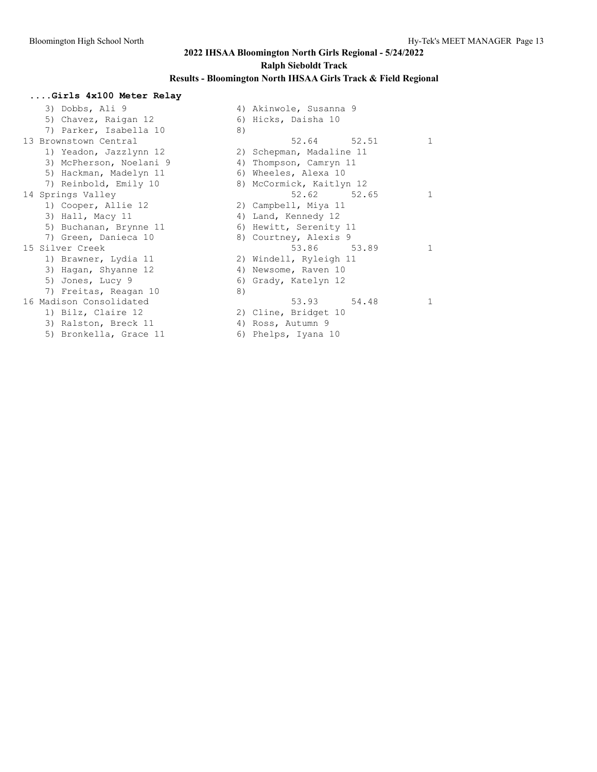## **2022 IHSAA Bloomington North Girls Regional - 5/24/2022 Ralph Sieboldt Track Results - Bloomington North IHSAA Girls Track & Field Regional**

## **....Girls 4x100 Meter Relay** 3) Dobbs, Ali 9 4) Akinwole, Susanna 9<br>5) Chavez, Raigan 12 6) Hicks, Daisha 10 5) Chavez, Raigan 12 (6)<br>5) Parker, Isabella 10 (8) 7) Parker, Isabella 10

|  | )) raikei, isaneila iv  | $\circ$ |                          |              |
|--|-------------------------|---------|--------------------------|--------------|
|  | 13 Brownstown Central   |         | 52.64 52.51              | $\mathbf{1}$ |
|  | 1) Yeadon, Jazzlynn 12  |         | 2) Schepman, Madaline 11 |              |
|  | 3) McPherson, Noelani 9 |         | 4) Thompson, Camryn 11   |              |
|  | 5) Hackman, Madelyn 11  |         | 6) Wheeles, Alexa 10     |              |
|  | 7) Reinbold, Emily 10   |         | 8) McCormick, Kaitlyn 12 |              |
|  | 14 Springs Valley       |         | 52.62 52.65              | $\mathbf{1}$ |
|  | 1) Cooper, Allie 12     |         | 2) Campbell, Miya 11     |              |
|  | 3) Hall, Macy 11        |         | 4) Land, Kennedy 12      |              |
|  | 5) Buchanan, Brynne 11  |         | 6) Hewitt, Serenity 11   |              |
|  | 7) Green, Danieca 10    |         | 8) Courtney, Alexis 9    |              |
|  | 15 Silver Creek         |         | 53.86 53.89              | $\mathbf{1}$ |
|  | 1) Brawner, Lydia 11    |         | 2) Windell, Ryleigh 11   |              |
|  | 3) Hagan, Shyanne 12    |         | 4) Newsome, Raven 10     |              |
|  | 5) Jones, Lucy 9        |         | 6) Grady, Katelyn 12     |              |
|  | 7) Freitas, Reagan 10   | 8)      |                          |              |
|  | 16 Madison Consolidated |         | 53.93 54.48              | 1            |
|  | 1) Bilz, Claire 12      |         | 2) Cline, Bridget 10     |              |
|  | 3) Ralston, Breck 11    |         | 4) Ross, Autumn 9        |              |
|  | 5) Bronkella, Grace 11  |         | 6) Phelps, Iyana 10      |              |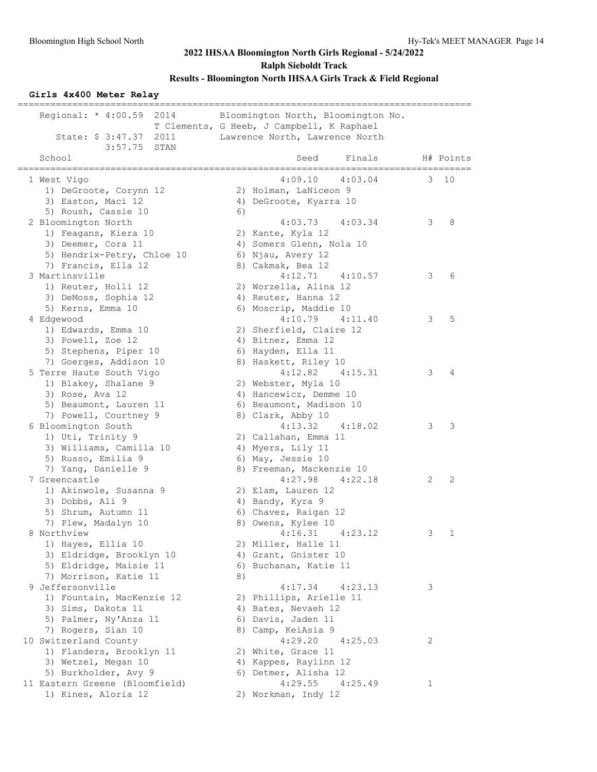### **Girls 4x400 Meter Relay**

| Regional: $* 4:00.59$<br>2014<br>State: \$ 3:47.37<br>2011 |    | Bloomington North, Bloomington No.<br>T Clements, G Heeb, J Campbell, K Raphael<br>Lawrence North, Lawrence North |   |           |
|------------------------------------------------------------|----|-------------------------------------------------------------------------------------------------------------------|---|-----------|
| 3:57.75<br>STAN<br>School                                  |    | Seed<br>Finals                                                                                                    |   | H# Points |
| 1 West Vigo                                                |    | 4:09.10<br>4:03.04                                                                                                | 3 | 10        |
| 1) DeGroote, Corynn 12                                     |    | 2) Holman, LaNiceon 9                                                                                             |   |           |
| 3) Easton, Maci 12                                         |    | 4) DeGroote, Kyarra 10                                                                                            |   |           |
| 5) Roush, Cassie 10                                        | 6) |                                                                                                                   |   |           |
| 2 Bloomington North                                        |    | 4:03.73<br>4:03.34                                                                                                | 3 | 8         |
| 1) Feagans, Kiera 10                                       |    | 2) Kante, Kyla 12                                                                                                 |   |           |
| 3) Deemer, Cora 11                                         |    | 4) Somers Glenn, Nola 10                                                                                          |   |           |
| 5) Hendrix-Petry, Chloe 10                                 |    | 6) Njau, Avery 12                                                                                                 |   |           |
| 7) Francis, Ella 12                                        |    | 8) Cakmak, Bea 12                                                                                                 |   |           |
| 3 Martinsville                                             |    | 4:12.71<br>4:10.57                                                                                                | 3 | 6         |
| 1) Reuter, Holli 12                                        |    | 2) Worzella, Alina 12                                                                                             |   |           |
| 3) DeMoss, Sophia 12                                       |    | 4) Reuter, Hanna 12                                                                                               |   |           |
| 5) Kerns, Emma 10                                          |    | 6) Moscrip, Maddie 10                                                                                             |   |           |
| 4 Edgewood                                                 |    | 4:10.79<br>4:11.40                                                                                                | 3 | 5         |
| 1) Edwards, Emma 10                                        |    | 2) Sherfield, Claire 12                                                                                           |   |           |
| 3) Powell, Zoe 12                                          |    | 4) Bitner, Emma 12                                                                                                |   |           |
| 5) Stephens, Piper 10                                      |    | 6) Hayden, Ella 11                                                                                                |   |           |
| 7) Goerges, Addison 10                                     |    | 8) Haskett, Riley 10                                                                                              |   |           |
| 5 Terre Haute South Vigo                                   |    | 4:12.82<br>4:15.31                                                                                                | 3 | 4         |
| 1) Blakey, Shalane 9                                       |    | 2) Webster, Myla 10                                                                                               |   |           |
| 3) Rose, Ava 12                                            |    | 4) Hancewicz, Demme 10                                                                                            |   |           |
| 5) Beaumont, Lauren 11                                     |    | 6) Beaumont, Madison 10                                                                                           |   |           |
| 7) Powell, Courtney 9                                      |    | 8) Clark, Abby 10                                                                                                 |   |           |
| 6 Bloomington South                                        |    | 4:13.32<br>4:18.02                                                                                                | 3 | 3         |
| 1) Uti, Trinity 9                                          |    | 2) Callahan, Emma 11                                                                                              |   |           |
| 3) Williams, Camilla 10                                    |    | 4) Myers, Lily 11                                                                                                 |   |           |
| 5) Russo, Emilia 9                                         |    | 6) May, Jessie 10                                                                                                 |   |           |
| 7) Yang, Danielle 9                                        |    | 8) Freeman, Mackenzie 10                                                                                          |   |           |
| 7 Greencastle                                              |    | 4:27.98<br>4:22.18                                                                                                | 2 | 2         |
| 1) Akinwole, Susanna 9                                     |    | 2) Elam, Lauren 12                                                                                                |   |           |
| 3) Dobbs, Ali 9                                            |    | 4) Bandy, Kyra 9                                                                                                  |   |           |
| 5) Shrum, Autumn 11                                        |    | 6) Chavez, Raigan 12                                                                                              |   |           |
| 7) Plew, Madalyn 10<br>8 Northview                         |    | 8) Owens, Kylee 10<br>4:16.31<br>4:23.12                                                                          | 3 | 1         |
| 1) Hayes, Ellia 10                                         |    | 2) Miller, Halle 11                                                                                               |   |           |
| 3) Eldridge, Brooklyn 10                                   |    | 4) Grant, Gnister 10                                                                                              |   |           |
| 5) Eldridge, Maisie 11                                     |    | 6) Buchanan, Katie 11                                                                                             |   |           |
| 7) Morrison, Katie 11                                      | 8) |                                                                                                                   |   |           |
| 9 Jeffersonville                                           |    | 4:17.34<br>4:23.13                                                                                                | 3 |           |
| 1) Fountain, MacKenzie 12                                  |    | 2) Phillips, Arielle 11                                                                                           |   |           |
| 3) Sims, Dakota 11                                         |    | 4) Bates, Nevaeh 12                                                                                               |   |           |
| 5) Palmer, Ny'Anza 11                                      |    | 6) Davis, Jaden 11                                                                                                |   |           |
| 7) Rogers, Sian 10                                         |    | 8) Camp, KeiAsia 9                                                                                                |   |           |
| 10 Switzerland County                                      |    | 4:29.20<br>4:25.03                                                                                                | 2 |           |
| 1) Flanders, Brooklyn 11                                   |    | 2) White, Grace 11                                                                                                |   |           |
| 3) Wetzel, Megan 10                                        |    | 4) Kappes, Raylinn 12                                                                                             |   |           |
| 5) Burkholder, Avy 9                                       |    | 6) Detmer, Alisha 12                                                                                              |   |           |
| 11 Eastern Greene (Bloomfield)                             |    | 4:29.55<br>4:25.49                                                                                                | 1 |           |
| 1) Kines, Aloria 12                                        |    | 2) Workman, Indy 12                                                                                               |   |           |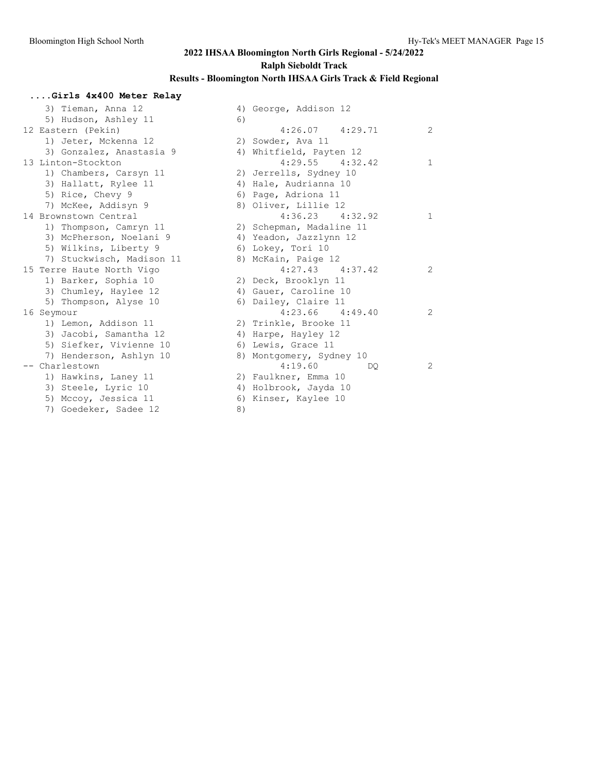## **....Girls 4x400 Meter Relay** 3) Tieman, Anna 12 4) George, Addison 12 5) Hudson, Ashley  $11$  6) 12 Eastern (Pekin) 4:26.07 4:29.71 2 1) Jeter, Mckenna 12 2) Sowder, Ava 11 3) Gonzalez, Anastasia 9 4) Whitfield, Payten 12 13 Linton-Stockton 4:29.55 4:32.42 1 1) Chambers, Carsyn 11 2) Jerrells, Sydney 10 3) Hallatt, Rylee 11 4) Hale, Audrianna 10 5) Rice, Chevy 9 6) Page, Adriona 11 7) McKee, Addisyn 9 8) Oliver, Lillie 12 14 Brownstown Central 2020 12:36.23 4:36.23 4:32.92 1 1) Thompson, Camryn 11 2) Schepman, Madaline 11 3) McPherson, Noelani 9 4) Yeadon, Jazzlynn 12 5) Wilkins, Liberty 9 6) Lokey, Tori 10 7) Stuckwisch, Madison 11 and 8) McKain, Paige 12 15 Terre Haute North Vigo **4:27.43** 4:37.42 2 1) Barker, Sophia 10 2) Deck, Brooklyn 11 3) Chumley, Haylee 12 4) Gauer, Caroline 10 5) Thompson, Alyse 10 6) Dailey, Claire 11 16 Seymour 4:23.66 4:49.40 2 1) Lemon, Addison 11 2) Trinkle, Brooke 11 3) Jacobi, Samantha 12 4) Harpe, Hayley 12 5) Siefker, Vivienne 10 6) Lewis, Grace 11 7) Henderson, Ashlyn 10 8) Montgomery, Sydney 10 -- Charlestown 4:19.60 DQ 2 1) Hawkins, Laney 11 120 20 Faulkner, Emma 10 3) Steele, Lyric 10 4) Holbrook, Jayda 10 5) Mccoy, Jessica 11  $\qquad \qquad$  6) Kinser, Kaylee 10

7) Goedeker, Sadee 12 (8)

- 
-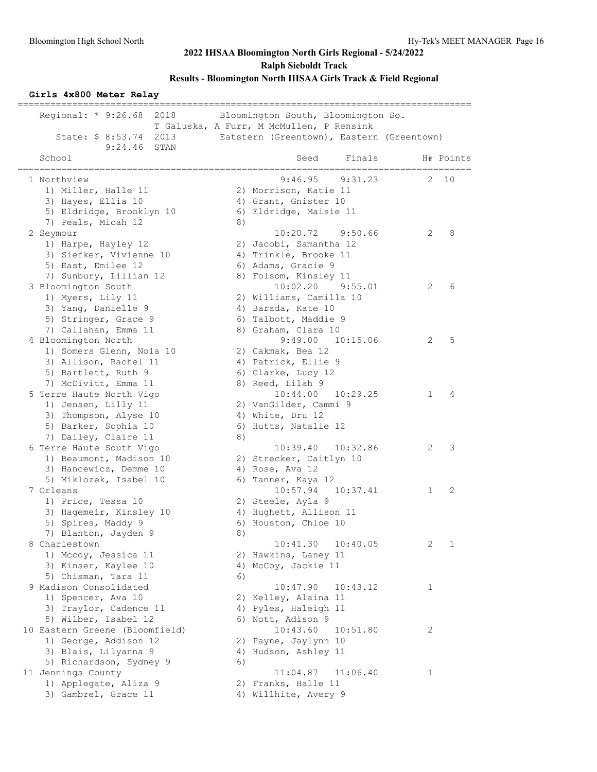### **Girls 4x800 Meter Relay**

| ================<br>Regional: $* 9:26.68$<br>2018<br>2013<br>State: \$ 8:53.74                                                                   |    | Bloomington South, Bloomington So.<br>T Galuska, A Furr, M McMullen, P Rensink<br>Eatstern (Greentown), Eastern (Greentown)   |                   |
|--------------------------------------------------------------------------------------------------------------------------------------------------|----|-------------------------------------------------------------------------------------------------------------------------------|-------------------|
| 9:24.46 STAN<br>School                                                                                                                           |    | Seed<br>Finals                                                                                                                | H# Points         |
| 1 Northview<br>1) Miller, Halle 11<br>3) Hayes, Ellia 10<br>5) Eldridge, Brooklyn 10                                                             |    | ----------------------------<br>9:46.95<br>9:31.23<br>2) Morrison, Katie 11<br>4) Grant, Gnister 10<br>6) Eldridge, Maisie 11 | 10<br>2           |
| 7) Peals, Micah 12<br>2 Seymour<br>1) Harpe, Hayley 12<br>3) Siefker, Vivienne 10<br>5) East, Emilee 12                                          | 8) | 9:50.66<br>10:20.72<br>2) Jacobi, Samantha 12<br>4) Trinkle, Brooke 11<br>6) Adams, Gracie 9                                  | 2<br>8            |
| 7) Sunbury, Lillian 12<br>3 Bloomington South<br>1) Myers, Lily 11<br>3) Yang, Danielle 9<br>5) Stringer, Grace 9                                |    | 8) Folsom, Kinsley 11<br>10:02.20<br>9:55.01<br>2) Williams, Camilla 10<br>4) Barada, Kate 10<br>6) Talbott, Maddie 9         | 2<br>6            |
| 7) Callahan, Emma 11<br>4 Bloomington North<br>1) Somers Glenn, Nola 10<br>3) Allison, Rachel 11<br>5) Bartlett, Ruth 9                          |    | 8) Graham, Clara 10<br>9:49.00<br>10:15.06<br>2) Cakmak, Bea 12<br>4) Patrick, Ellie 9<br>6) Clarke, Lucy 12                  | 5<br>2            |
| 7) McDivitt, Emma 11<br>5 Terre Haute North Vigo<br>1) Jensen, Lilly 11<br>3) Thompson, Alyse 10<br>5) Barker, Sophia 10<br>7) Dailey, Claire 11 |    | 8) Reed, Lilah 9<br>10:44.00<br>10:29.25<br>2) VanGilder, Cammi 9<br>4) White, Dru 12<br>6) Hutts, Natalie 12                 | 4<br>1            |
| 6 Terre Haute South Vigo<br>1) Beaumont, Madison 10<br>3) Hancewicz, Demme 10<br>5) Miklozek, Isabel 10                                          | 8) | 10:39.40<br>10:32.86<br>2) Strecker, Caitlyn 10<br>4) Rose, Ava 12<br>6) Tanner, Kaya 12                                      | 3<br>2            |
| 7 Orleans<br>1) Price, Tessa 10<br>3) Hagemeir, Kinsley 10<br>5) Spires, Maddy 9<br>7) Blanton, Jayden 9                                         | 8) | 10:57.94<br>10:37.41<br>2) Steele, Ayla 9<br>4) Hughett, Allison 11<br>6) Houston, Chloe 10                                   | 2<br>1            |
| 8 Charlestown<br>1) Mccoy, Jessica 11<br>3) Kinser, Kaylee 10<br>5) Chisman, Tara 11                                                             | 6) | 10:41.30<br>10:40.05<br>2) Hawkins, Laney 11<br>4) McCoy, Jackie 11                                                           | 2<br>$\mathbf{1}$ |
| 9 Madison Consolidated<br>1) Spencer, Ava 10<br>3) Traylor, Cadence 11<br>5) Wilber, Isabel 12                                                   |    | 10:47.90<br>10:43.12<br>2) Kelley, Alaina 11<br>4) Pyles, Haleigh 11<br>6) Nott, Adison 9                                     | 1                 |
| 10 Eastern Greene (Bloomfield)<br>1) George, Addison 12<br>3) Blais, Lilyanna 9                                                                  |    | 10:43.60<br>10:51.80<br>2) Payne, Jaylynn 10<br>4) Hudson, Ashley 11                                                          | 2                 |
| 5) Richardson, Sydney 9<br>11 Jennings County<br>1) Applegate, Aliza 9<br>3) Gambrel, Grace 11                                                   | 6) | 11:04.87<br>11:06.40<br>2) Franks, Halle 11<br>4) Willhite, Avery 9                                                           | 1                 |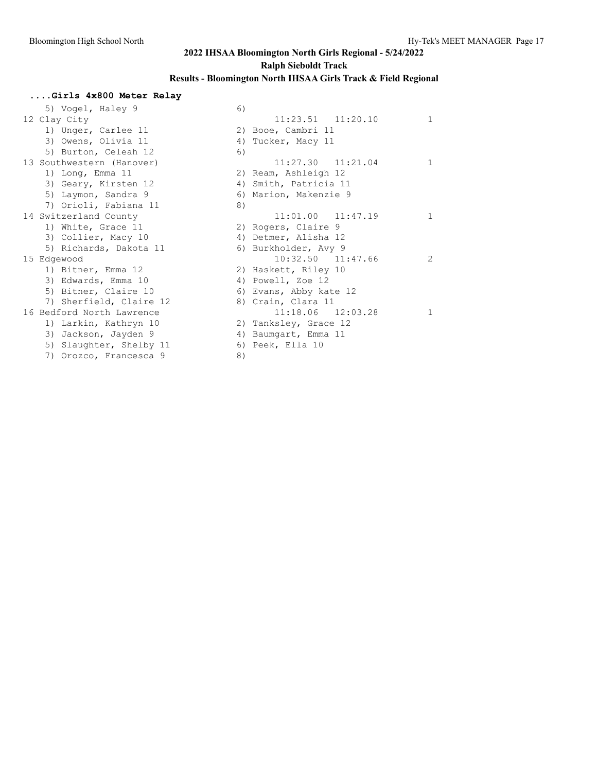### **....Girls 4x800 Meter Relay**

|                           |                                   |                       | $\mathbf{1}$                                                                                                                                                                                                                                                                                                                                                                         |
|---------------------------|-----------------------------------|-----------------------|--------------------------------------------------------------------------------------------------------------------------------------------------------------------------------------------------------------------------------------------------------------------------------------------------------------------------------------------------------------------------------------|
| 1) Unger, Carlee 11       |                                   |                       |                                                                                                                                                                                                                                                                                                                                                                                      |
| 3) Owens, Olivia 11       |                                   |                       |                                                                                                                                                                                                                                                                                                                                                                                      |
| 5) Burton, Celeah 12      | 6)                                |                       |                                                                                                                                                                                                                                                                                                                                                                                      |
| 13 Southwestern (Hanover) |                                   | 11:27.30  11:21.04    | $\mathbf{1}$                                                                                                                                                                                                                                                                                                                                                                         |
| 1) Long, Emma 11          |                                   |                       |                                                                                                                                                                                                                                                                                                                                                                                      |
| 3) Geary, Kirsten 12      |                                   |                       |                                                                                                                                                                                                                                                                                                                                                                                      |
| 5) Laymon, Sandra 9       |                                   |                       |                                                                                                                                                                                                                                                                                                                                                                                      |
| 7) Orioli, Fabiana 11     | 8)                                |                       |                                                                                                                                                                                                                                                                                                                                                                                      |
| 14 Switzerland County     |                                   | $11:01.00$ $11:47.19$ | $\mathbf{1}$                                                                                                                                                                                                                                                                                                                                                                         |
| 1) White, Grace 11        |                                   |                       |                                                                                                                                                                                                                                                                                                                                                                                      |
| 3) Collier, Macy 10       |                                   |                       |                                                                                                                                                                                                                                                                                                                                                                                      |
| 5) Richards, Dakota 11    |                                   |                       |                                                                                                                                                                                                                                                                                                                                                                                      |
| 15 Edgewood               |                                   | 10:32.50 11:47.66     | 2                                                                                                                                                                                                                                                                                                                                                                                    |
| 1) Bitner, Emma 12        |                                   |                       |                                                                                                                                                                                                                                                                                                                                                                                      |
| 3) Edwards, Emma 10       |                                   |                       |                                                                                                                                                                                                                                                                                                                                                                                      |
| 5) Bitner, Claire 10      |                                   |                       |                                                                                                                                                                                                                                                                                                                                                                                      |
| 7) Sherfield, Claire 12   |                                   |                       |                                                                                                                                                                                                                                                                                                                                                                                      |
| 16 Bedford North Lawrence |                                   | $11:18.06$ $12:03.28$ | 1                                                                                                                                                                                                                                                                                                                                                                                    |
| 1) Larkin, Kathryn 10     |                                   |                       |                                                                                                                                                                                                                                                                                                                                                                                      |
| 3) Jackson, Jayden 9      |                                   |                       |                                                                                                                                                                                                                                                                                                                                                                                      |
| 5) Slaughter, Shelby 11   |                                   |                       |                                                                                                                                                                                                                                                                                                                                                                                      |
| 7) Orozco, Francesca 9    | 8)                                |                       |                                                                                                                                                                                                                                                                                                                                                                                      |
|                           | 5) Vogel, Haley 9<br>12 Clay City | 6)                    | $11:23.51$ $11:20.10$<br>2) Booe, Cambri 11<br>4) Tucker, Macy 11<br>2) Ream, Ashleigh 12<br>4) Smith, Patricia 11<br>6) Marion, Makenzie 9<br>2) Rogers, Claire 9<br>4) Detmer, Alisha 12<br>6) Burkholder, Avy 9<br>2) Haskett, Riley 10<br>4) Powell, Zoe 12<br>6) Evans, Abby kate 12<br>8) Crain, Clara 11<br>2) Tanksley, Grace 12<br>4) Baumgart, Emma 11<br>6) Peek, Ella 10 |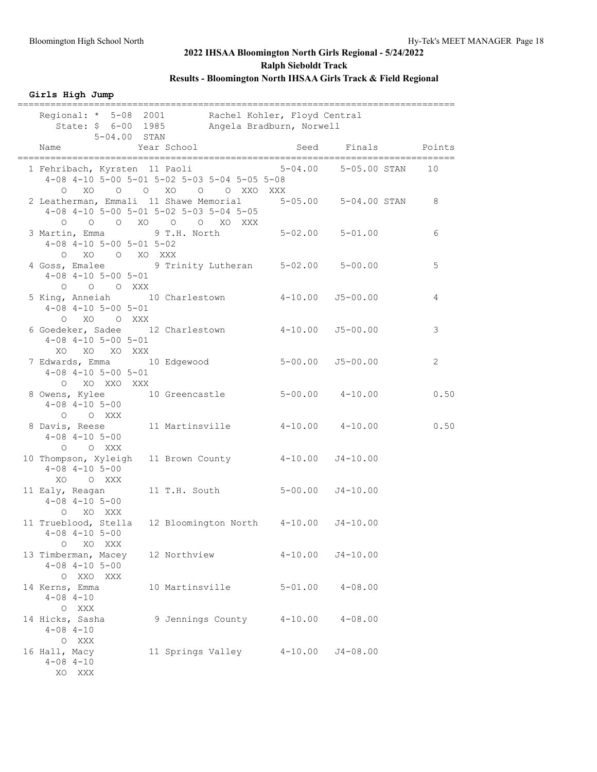### **Girls High Jump**

| $5 - 04.00$ STAN                                                                                      | Regional: * 5-08 2001 Rachel Kohler, Floyd Central<br>State: \$ 6-00 1985 Angela Bradburn, Norwell |                      |                      |                |
|-------------------------------------------------------------------------------------------------------|----------------------------------------------------------------------------------------------------|----------------------|----------------------|----------------|
| Name                                                                                                  | Year School                                                                                        |                      | Seed Finals Points   |                |
| 1 Fehribach, Kyrsten 11 Paoli                                                                         | 4-08 4-10 5-00 5-01 5-02 5-03 5-04 5-05 5-08<br>0 XO O O XO O O XXO XXX                            |                      | 5-04.00 5-05.00 STAN | 10             |
| 2 Leatherman, Emmali 11 Shawe Memorial 5-05.00 5-04.00 STAN                                           | $4-08$ $4-10$ $5-00$ $5-01$ $5-02$ $5-03$ $5-04$ $5-05$<br>0 0 0 XO 0 0 XO XXX                     |                      |                      | 8              |
| 3 Martin, Emma 9 T.H. North<br>$4-08$ $4-10$ $5-00$ $5-01$ $5-02$<br>O XO O XO XXX                    |                                                                                                    | $5-02.00$ $5-01.00$  |                      | 6              |
| 4 Goss, Emalee 9 Trinity Lutheran 5-02.00 5-00.00<br>$4-08$ $4-10$ $5-00$ $5-01$<br>$O$ $O$ $O$ $XXX$ |                                                                                                    |                      |                      | 5              |
| 5 King, Anneiah 10 Charlestown 4-10.00 J5-00.00<br>$4-08$ $4-10$ $5-00$ $5-01$<br>O XO O XXX          |                                                                                                    |                      |                      | 4              |
| 6 Goedeker, Sadee 12 Charlestown 4-10.00 J5-00.00<br>$4-08$ $4-10$ $5-00$ $5-01$<br>XO XO XO XXX      |                                                                                                    |                      |                      | 3              |
| 7 Edwards, Emma 10 Edgewood<br>$4 - 08$ $4 - 10$ $5 - 00$ $5 - 01$<br>O XO XXO XXX                    |                                                                                                    | $5-00.00$ $J5-00.00$ |                      | $\overline{2}$ |
| 8 Owens, Kylee 10 Greencastle 5-00.00 4-10.00<br>$4-08$ $4-10$ $5-00$<br>O O XXX                      |                                                                                                    |                      |                      | 0.50           |
| 8 Davis, Reese 11 Martinsville 4-10.00 4-10.00<br>$4 - 08$ $4 - 10$ $5 - 00$<br>O O XXX               |                                                                                                    |                      |                      | 0.50           |
| 10 Thompson, Xyleigh 11 Brown County 4-10.00 J4-10.00<br>$4 - 08$ $4 - 10$ $5 - 00$<br>XO O XXX       |                                                                                                    |                      |                      |                |
| 11 Ealy, Reagan<br>$4 - 08$ $4 - 10$ $5 - 00$<br>O XO XXX                                             | 11 T.H. South 5-00.00 J4-10.00                                                                     |                      |                      |                |
| 11 Trueblood, Stella<br>$4 - 08$ $4 - 10$ $5 - 00$<br>XO XXX<br>$\circ$                               | 12 Bloomington North 4-10.00 J4-10.00                                                              |                      |                      |                |
| 13 Timberman, Macey<br>$4 - 08$ $4 - 10$ $5 - 00$<br>O XXO XXX                                        | 12 Northview                                                                                       |                      | $4-10.00$ $J4-10.00$ |                |
| 14 Kerns, Emma<br>$4 - 08$ $4 - 10$<br>O XXX                                                          | 10 Martinsville                                                                                    | $5 - 01.00$          | $4 - 08.00$          |                |
| 14 Hicks, Sasha<br>$4 - 08$ $4 - 10$<br>O XXX                                                         | 9 Jennings County 4-10.00                                                                          |                      | $4 - 08.00$          |                |
| 16 Hall, Macy<br>$4 - 08$ $4 - 10$<br>XO XXX                                                          | 11 Springs Valley 4-10.00 J4-08.00                                                                 |                      |                      |                |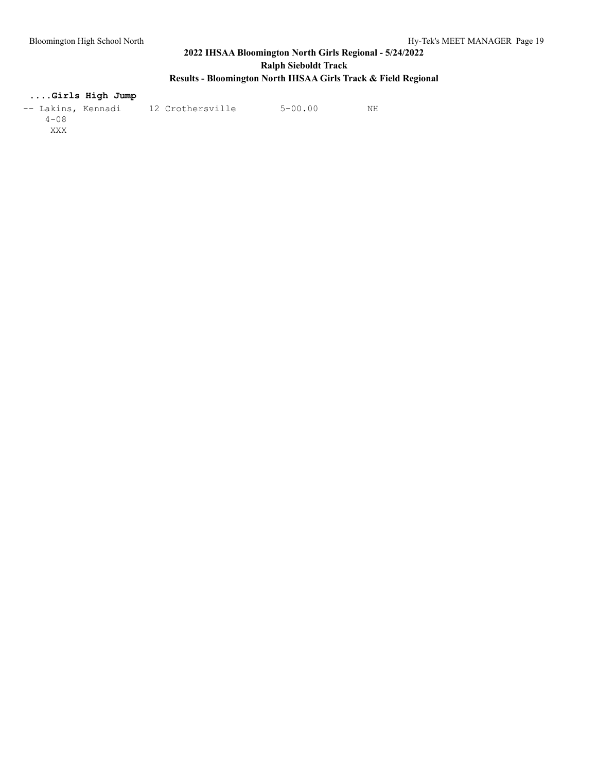## **....Girls High Jump**

| -- Lakins, Kennadi | 12 Crothersville | $5 - 00.00$ | NΗ |
|--------------------|------------------|-------------|----|
| $4 - 0.8$          |                  |             |    |
| XXX                |                  |             |    |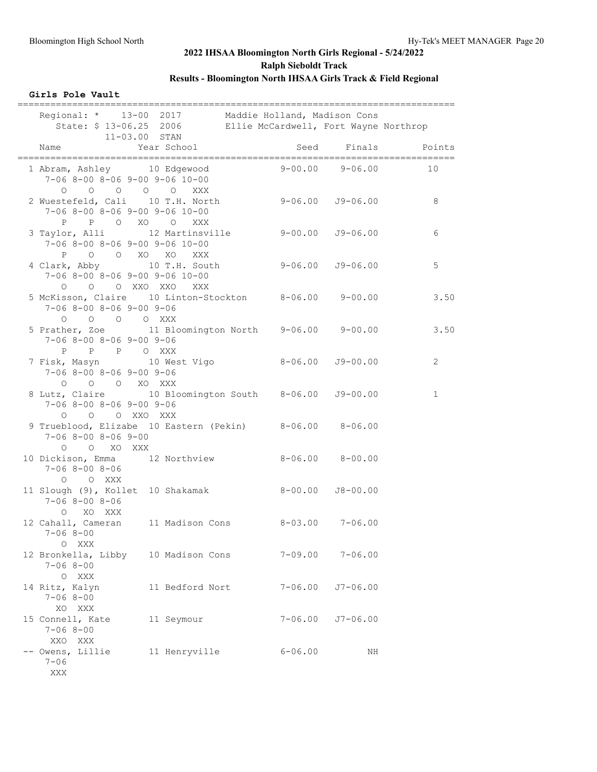### **Girls Pole Vault**

| Regional: * 13-00 2017 Maddie Holland, Madison Cons<br>11-03.00 STAN                                    |                 | State: \$ 13-06.25 2006 Ellie McCardwell, Fort Wayne Northrop |              |                                                          |
|---------------------------------------------------------------------------------------------------------|-----------------|---------------------------------------------------------------|--------------|----------------------------------------------------------|
| Name                                                                                                    | Year School     |                                                               |              | Seed Finals Points<br>__________________________________ |
| 1 Abram, Ashley 10 Edgewood<br>$7-06$ 8-00 8-06 9-00 9-06 10-00                                         |                 | $9 - 00.00$                                                   | $9 - 06.00$  | 10                                                       |
| 0 0 0 0 0 XXX<br>2 Wuestefeld, Cali 10 T.H. North<br>$7-06$ 8-00 8-06 9-00 9-06 10-00<br>P P O XO O XXX |                 | $9-06.00$ $J9-06.00$                                          |              | 8                                                        |
| 3 Taylor, Alli 12 Martinsville<br>$7-06$ 8-00 8-06 9-00 9-06 10-00<br>P O O XO XO XXX                   |                 | $9-00.00$ $J9-06.00$                                          |              | 6                                                        |
| 4 Clark, Abby 10 T.H. South 9-06.00 J9-06.00<br>$7-06$ 8-00 8-06 9-00 9-06 10-00<br>0 0 0 XXO XXO XXX   |                 |                                                               |              | 5                                                        |
| 5 McKisson, Claire 10 Linton-Stockton 8-06.00 9-00.00<br>$7-06$ 8-00 8-06 9-00 9-06<br>0 0 0 0 XXX      |                 |                                                               |              | 3.50                                                     |
| 5 Prather, Zoe 11 Bloomington North 9-06.00 9-00.00<br>$7-06$ 8-00 8-06 9-00 9-06<br>P P P O XXX        |                 |                                                               |              | 3.50                                                     |
| 7 Fisk, Masyn 10 West Vigo<br>$7-06$ 8-00 8-06 9-00 9-06<br>0 0 0 XO XXX                                |                 | $8 - 06.00$ $J9 - 00.00$                                      |              | $\overline{2}$                                           |
| 8 Lutz, Claire 10 Bloomington South 8-06.00 J9-00.00<br>$7-06$ 8-00 8-06 9-00 9-06<br>O O O XXO XXX     |                 |                                                               |              | $\mathbf{1}$                                             |
| 9 Trueblood, Elizabe 10 Eastern (Pekin) 8-06.00 8-06.00<br>$7 - 068 - 008 - 069 - 00$<br>O O XO XXX     |                 |                                                               |              |                                                          |
| 10 Dickison, Emma 12 Northview 8-06.00 8-00.00<br>$7 - 06$ 8-00 8-06<br>O O XXX                         |                 |                                                               |              |                                                          |
| 11 Slough (9), Kollet 10 Shakamak<br>$7 - 068 - 008 - 06$<br>O XO XXX                                   |                 | $8-00.00$ $J8-00.00$                                          |              |                                                          |
| 12 Cahall, Cameran 11 Madison Cons 8-03.00 7-06.00<br>$7 - 068 - 00$<br>O XXX                           |                 |                                                               |              |                                                          |
| 12 Bronkella, Libby 10 Madison Cons<br>$7 - 068 - 00$<br>O XXX                                          |                 | 7-09.00                                                       | $7 - 06.00$  |                                                          |
| 14 Ritz, Kalyn<br>$7 - 068 - 00$<br>XO XXX                                                              | 11 Bedford Nort | $7 - 06.00$                                                   | $J7 - 06.00$ |                                                          |
| 15 Connell, Kate<br>$7 - 068 - 00$<br>XXO XXX                                                           | 11 Seymour      | $7 - 06.00$                                                   | $J7 - 06.00$ |                                                          |
| -- Owens, Lillie<br>$7 - 06$<br>XXX                                                                     | 11 Henryville   | $6 - 06.00$                                                   | ΝH           |                                                          |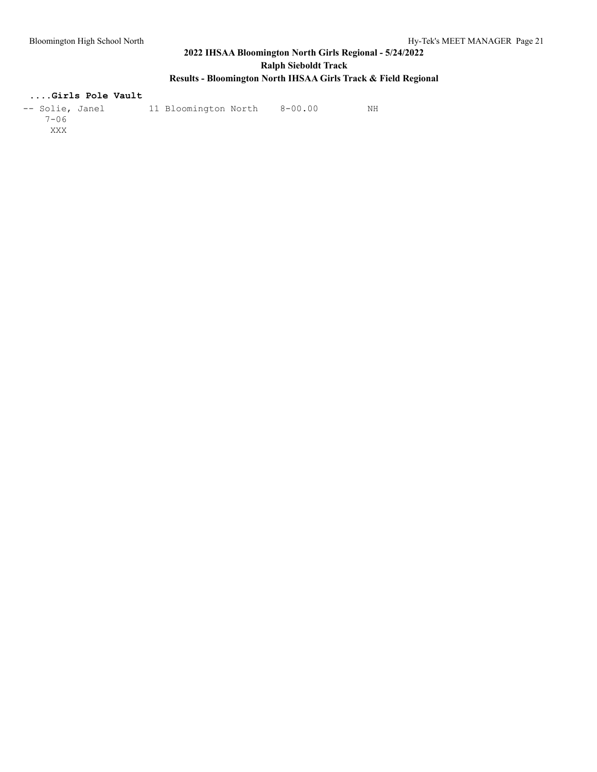## **....Girls Pole Vault**

| -- Solie, Janel | 11 Bloomington North | 8-00.00 | NΗ |
|-----------------|----------------------|---------|----|
| $7 - 06$        |                      |         |    |
| XXX             |                      |         |    |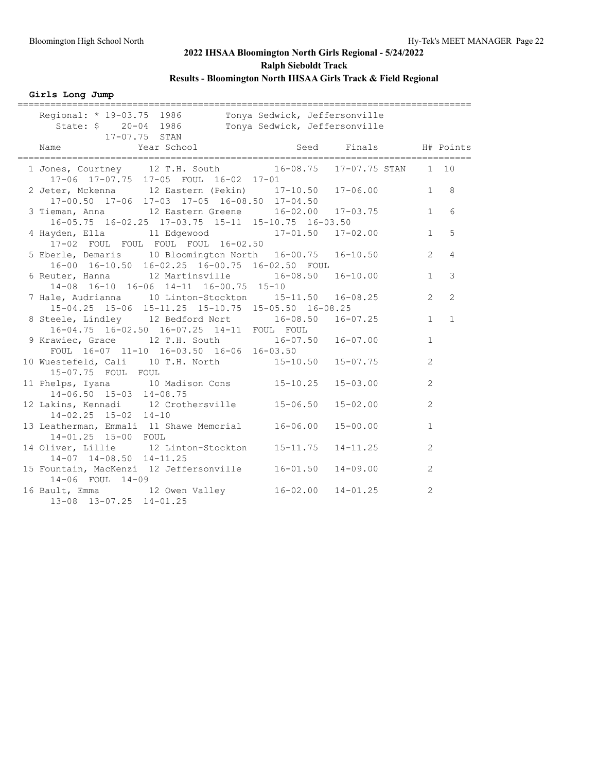**Girls Long Jump**

| _________________                                                                                            |                           |                               |                |                |
|--------------------------------------------------------------------------------------------------------------|---------------------------|-------------------------------|----------------|----------------|
| Regional: * 19-03.75 1986 Tonya Sedwick, Jeffersonville<br>State: \$ 20-04 1986<br>17-07.75 STAN             |                           | Tonya Sedwick, Jeffersonville |                |                |
| Year School Seed Finals H# Points<br>Name                                                                    |                           |                               |                |                |
| 1 Jones, Courtney 12 T.H. South 16-08.75 17-07.75 STAN 1 10<br>17-06 17-07.75 17-05 FOUL 16-02 17-01         |                           |                               |                |                |
| 2 Jeter, Mckenna 12 Eastern (Pekin) 17-10.50 17-06.00<br>17-00.50 17-06 17-03 17-05 16-08.50 17-04.50        |                           |                               | 1              | 8              |
| 3 Tieman, Anna 12 Eastern Greene 16-02.00 17-03.75<br>16-05.75 16-02.25 17-03.75 15-11 15-10.75 16-03.50     |                           |                               | 1              | 6              |
| 4 Hayden, Ella 11 Edgewood 17-01.50 17-02.00<br>17-02 FOUL FOUL FOUL FOUL 16-02.50                           |                           |                               | $\mathbf{1}$   | 5              |
| 5 Eberle, Demaris 10 Bloomington North 16-00.75 16-10.50<br>16-00 16-10.50 16-02.25 16-00.75 16-02.50 FOUL   |                           |                               | $\overline{2}$ | 4              |
| 6 Reuter, Hanna 12 Martinsville 16-08.50 16-10.00<br>14-08 16-10 16-06 14-11 16-00.75 15-10                  |                           |                               | 1              | $\mathbf{3}$   |
| 7 Hale, Audrianna 10 Linton-Stockton 15-11.50 16-08.25<br>15-04.25 15-06 15-11.25 15-10.75 15-05.50 16-08.25 |                           |                               | $\overline{2}$ | $\overline{c}$ |
| 8 Steele, Lindley 12 Bedford Nort 16-08.50 16-07.25<br>16-04.75 16-02.50 16-07.25 14-11 FOUL FOUL            |                           |                               | $\mathbf{1}$   | $\mathbf{1}$   |
| 9 Krawiec, Grace 12 T.H. South 16-07.50<br>FOUL 16-07 11-10 16-03.50 16-06 16-03.50                          |                           | $16 - 07.00$                  | $\mathbf{1}$   |                |
| 10 Wuestefeld, Cali 10 T.H. North 15-10.50<br>15-07.75 FOUL FOUL                                             |                           | $15 - 07.75$                  | 2              |                |
| 11 Phelps, Iyana 10 Madison Cons<br>14-06.50 15-03 14-08.75                                                  | $15 - 10.25$              | $15 - 03.00$                  | $\overline{2}$ |                |
| 12 Lakins, Kennadi 12 Crothersville<br>$14 - 02.25$ $15 - 02$ $14 - 10$                                      | $15 - 06.50$              | $15 - 02.00$                  | $\overline{2}$ |                |
| 13 Leatherman, Emmali 11 Shawe Memorial<br>14-01.25 15-00 FOUL                                               | $16 - 06.00$              | $15 - 00.00$                  | $\mathbf{1}$   |                |
| 14 Oliver, Lillie 12 Linton-Stockton<br>$14-07$ $14-08.50$ $14-11.25$                                        | $15 - 11.75$              | $14 - 11.25$                  | 2              |                |
| 15 Fountain, MacKenzi 12 Jeffersonville<br>14-06 FOUL 14-09                                                  | $16 - 01.50$              | $14 - 09.00$                  | 2              |                |
| 16 Bault, Emma 12 Owen Valley<br>13-08 13-07.25 14-01.25                                                     | $16 - 02.00$ $14 - 01.25$ |                               | 2              |                |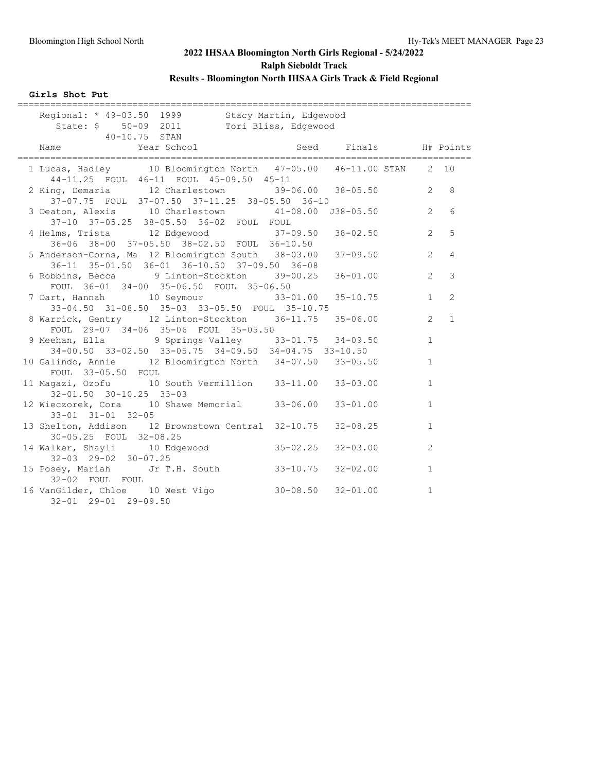### **Girls Shot Put**

| -------------                                                                                                      |              |              |                |                |
|--------------------------------------------------------------------------------------------------------------------|--------------|--------------|----------------|----------------|
| Regional: * 49-03.50 1999 Stacy Martin, Edgewood<br>State: \$ 50-09 2011 Tori Bliss, Edgewood<br>$40 - 10.75$ STAN |              |              |                |                |
| Name Year School Seed Finals H# Points<br>------------------------------                                           |              |              |                |                |
| 1 Lucas, Hadley 10 Bloomington North 47-05.00 46-11.00 STAN 2 10<br>44-11.25 FOUL 46-11 FOUL 45-09.50 45-11        |              |              |                |                |
| 2 King, Demaria 12 Charlestown 39-06.00 38-05.50<br>37-07.75 FOUL 37-07.50 37-11.25 38-05.50 36-10                 |              |              | $\overline{2}$ | 8              |
| 3 Deaton, Alexis 10 Charlestown 41-08.00 J38-05.50<br>37-10 37-05.25 38-05.50 36-02 FOUL FOUL                      |              |              | $\overline{2}$ | 6              |
| 4 Helms, Trista 12 Edgewood 37-09.50 38-02.50<br>36-06 38-00 37-05.50 38-02.50 FOUL 36-10.50                       |              |              | $\overline{2}$ | 5              |
| 5 Anderson-Corns, Ma 12 Bloomington South 38-03.00<br>36-11 35-01.50 36-01 36-10.50 37-09.50 36-08                 |              | $37 - 09.50$ | $\overline{2}$ | $\overline{4}$ |
| 6 Robbins, Becca 9 Linton-Stockton 39-00.25<br>FOUL 36-01 34-00 35-06.50 FOUL 35-06.50                             |              | $36 - 01.00$ | $\overline{2}$ | 3              |
| 7 Dart, Hannah 10 Seymour 33-01.00 35-10.75<br>33-04.50 31-08.50 35-03 33-05.50 FOUL 35-10.75                      |              |              | 1              | 2              |
| 8 Warrick, Gentry 12 Linton-Stockton 36-11.75 35-06.00<br>FOUL 29-07 34-06 35-06 FOUL 35-05.50                     |              |              | $\overline{2}$ | $\mathbf{1}$   |
| 9 Meehan, Ella (9 Springs Valley 33-01.75 34-09.50)<br>34-00.50 33-02.50 33-05.75 34-09.50 34-04.75 33-10.50       |              |              | $\mathbf{1}$   |                |
| 10 Galindo, Annie 12 Bloomington North 34-07.50 33-05.50<br>FOUL 33-05.50 FOUL                                     |              |              | $\mathbf{1}$   |                |
| 11 Magazi, Ozofu 10 South Vermillion 33-11.00 33-03.00<br>$32 - 01.50$ $30 - 10.25$ $33 - 03$                      |              |              | $\mathbf{1}$   |                |
| 12 Wieczorek, Cora 10 Shawe Memorial 33-06.00<br>$33 - 01$ $31 - 01$ $32 - 05$                                     |              | $33 - 01.00$ | $\mathbf{1}$   |                |
| 13 Shelton, Addison 12 Brownstown Central 32-10.75<br>30-05.25 FOUL 32-08.25                                       |              | $32 - 08.25$ | $\mathbf{1}$   |                |
| 14 Walker, Shayli 10 Edgewood<br>$32-03$ $29-02$ $30-07.25$                                                        | $35 - 02.25$ | $32 - 03.00$ | 2              |                |
| 15 Posey, Mariah Jr T.H. South 33-10.75<br>32-02 FOUL FOUL                                                         |              | $32 - 02.00$ | $\mathbf{1}$   |                |
| 16 VanGilder, Chloe 10 West Vigo 30-08.50 32-01.00<br>32-01 29-01 29-09.50                                         |              |              | $\mathbf{1}$   |                |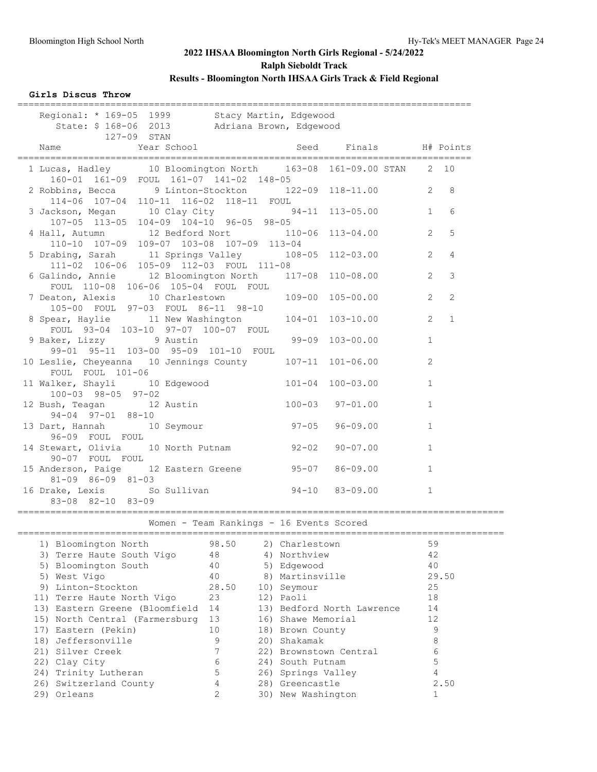### **Girls Discus Throw**

| ______________<br>Regional: * 169-05 1999 Stacy Martin, Edgewood<br>State: \$ 168-06 2013 Adriana Brown, Edgewood<br>127-09 STAN        |                       |              |                  |
|-----------------------------------------------------------------------------------------------------------------------------------------|-----------------------|--------------|------------------|
| Year School<br>Name                                                                                                                     | Seed Finals H# Points |              |                  |
| 1 Lucas, Hadley 10 Bloomington North 163-08 161-09.00 STAN 2 10<br>160-01 161-09 FOUL 161-07 141-02 148-05                              |                       |              |                  |
| 2 Robbins, Becca 9 Linton-Stockton 122-09 118-11.00 2 8<br>114-06 107-04 110-11 116-02 118-11 FOUL                                      |                       |              |                  |
| 3 Jackson, Megan 10 Clay City 54-11 113-05.00 1 6                                                                                       |                       |              |                  |
| 107-05 113-05 104-09 104-10 96-05 98-05<br>4 Hall, Autumn 12 Bedford Nort 110-06 113-04.00<br>110-10 107-09 109-07 103-08 107-09 113-04 |                       |              | 2 <sub>5</sub>   |
| 5 Drabing, Sarah 11 Springs Valley 108-05 112-03.00<br>111-02 106-06 105-09 112-03 FOUL 111-08                                          |                       |              | $2 \quad 4$      |
| 6 Galindo, Annie 12 Bloomington North 117-08 110-08.00<br>FOUL 110-08 106-06 105-04 FOUL FOUL                                           |                       | 2            | $\mathcal{E}$    |
| 7 Deaton, Alexis 10 Charlestown 109-00 105-00.00<br>105-00 FOUL 97-03 FOUL 86-11 98-10                                                  |                       |              | $2^{\circ}$<br>2 |
| 8 Spear, Haylie 11 New Washington 104-01 103-10.00<br>FOUL 93-04 103-10 97-07 100-07 FOUL                                               |                       |              | $2 \quad 1$      |
| 9 Baker, Lizzy 9 Austin<br>99-01 95-11 103-00 95-09 101-10 FOUL                                                                         | 99-09 103-00.00       | $\mathbf{1}$ |                  |
| 10 Leslie, Cheyeanna 10 Jennings County 107-11 101-06.00<br>FOUL FOUL 101-06                                                            |                       | 2            |                  |
| 11 Walker, Shayli 10 Edgewood 101-04 100-03.00<br>$100 - 03$ 98-05 97-02                                                                |                       | $\mathbf{1}$ |                  |
| 12 Bush, Teagan 12 Austin 100-03<br>$94-04$ $97-01$ $88-10$                                                                             | $97 - 01.00$          | $\mathbf{1}$ |                  |
| $97 - 05$<br>13 Dart, Hannah 10 Seymour<br>96-09 FOUL FOUL                                                                              | $96 - 09.00$          | $\mathbf{1}$ |                  |
| 14 Stewart, Olivia 10 North Putnam 92-02 90-07.00<br>90-07 FOUL FOUL                                                                    |                       | $\mathbf{1}$ |                  |
| 15 Anderson, Paige 12 Eastern Greene 95-07 86-09.00<br>$81-09$ $86-09$ $81-03$                                                          |                       | $\mathbf{1}$ |                  |
| 16 Drake, Lexis So Sullivan 50 94-10 83-09.00<br>83-08 82-10 83-09                                                                      |                       | $\mathbf{1}$ |                  |
| Women - Team Rankings - 16 Events Scored                                                                                                |                       |              |                  |

| 1) Bloomington North              | 98.50          | 2) Charlestown             | 59    |
|-----------------------------------|----------------|----------------------------|-------|
| 3) Terre Haute South Vigo         | 48             | 4) Northview               | 42    |
| 5) Bloomington South              | 40             | 5) Edgewood                | 40    |
| 5) West Vigo                      | 40             | 8) Martinsville            | 29.50 |
| 9) Linton-Stockton                | 28.50          | 10) Seymour                | 25    |
| 11) Terre Haute North Vigo        | 23             | 12) Paoli                  | 18    |
| 13) Eastern Greene (Bloomfield 14 |                | 13) Bedford North Lawrence | 14    |
| 15) North Central (Farmersburg    | 13             | 16) Shawe Memorial         | 12    |
| 17) Eastern (Pekin)               | 10             | 18) Brown County           | 9     |
| 18) Jeffersonville                | 9              | 20) Shakamak               | 8     |
| 21) Silver Creek                  |                | 22) Brownstown Central     | 6     |
| 22) Clay City                     | 6              | 24) South Putnam           | 5     |
| 24) Trinity Lutheran              | 5              | 26) Springs Valley         | 4     |
| 26) Switzerland County            | 4              | 28) Greencastle            | 2.50  |
| 29) Orleans                       | $\overline{2}$ | 30) New Washington         |       |